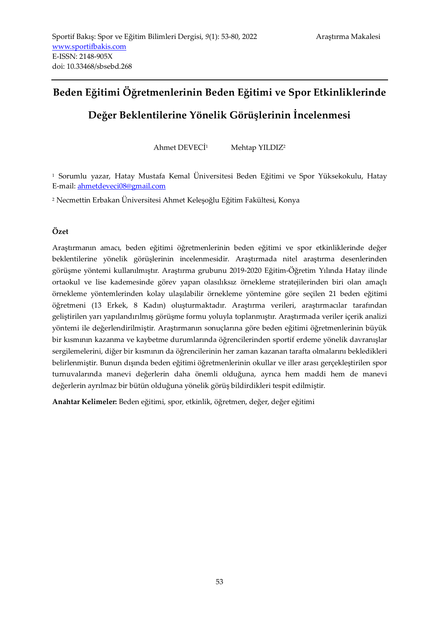# **Beden Eğitimi Öğretmenlerinin Beden Eğitimi ve Spor Etkinliklerinde**

# **Değer Beklentilerine Yönelik Görüşlerinin İncelenmesi**

Ahmet DEVECİ<sup>1</sup> Mehtap YILDIZ<sup>2</sup>

1 Sorumlu yazar, Hatay Mustafa Kemal Üniversitesi Beden Eğitimi ve Spor Yüksekokulu, Hatay E-mail: ahmetdeveci08@gmail.com

2 Necmettin Erbakan Üniversitesi Ahmet Keleşoğlu Eğitim Fakültesi, Konya

## **Özet**

Araştırmanın amacı, beden eğitimi öğretmenlerinin beden eğitimi ve spor etkinliklerinde değer beklentilerine yönelik görüşlerinin incelenmesidir. Araştırmada nitel araştırma desenlerinden görüşme yöntemi kullanılmıştır. Araştırma grubunu 2019-2020 Eğitim-Öğretim Yılında Hatay ilinde ortaokul ve lise kademesinde görev yapan olasılıksız örnekleme stratejilerinden biri olan amaçlı örnekleme yöntemlerinden kolay ulaşılabilir örnekleme yöntemine göre seçilen 21 beden eğitimi öğretmeni (13 Erkek, 8 Kadın) oluşturmaktadır. Araştırma verileri, araştırmacılar tarafından geliştirilen yarı yapılandırılmış görüşme formu yoluyla toplanmıştır. Araştırmada veriler içerik analizi yöntemi ile değerlendirilmiştir. Araştırmanın sonuçlarına göre beden eğitimi öğretmenlerinin büyük bir kısmının kazanma ve kaybetme durumlarında öğrencilerinden sportif erdeme yönelik davranışlar sergilemelerini, diğer bir kısmının da öğrencilerinin her zaman kazanan tarafta olmalarını bekledikleri belirlenmiştir. Bunun dışında beden eğitimi öğretmenlerinin okullar ve iller arası gerçekleştirilen spor turnuvalarında manevi değerlerin daha önemli olduğuna, ayrıca hem maddi hem de manevi değerlerin ayrılmaz bir bütün olduğuna yönelik görüş bildirdikleri tespit edilmiştir.

**Anahtar Kelimeler:** Beden eğitimi, spor, etkinlik, öğretmen, değer, değer eğitimi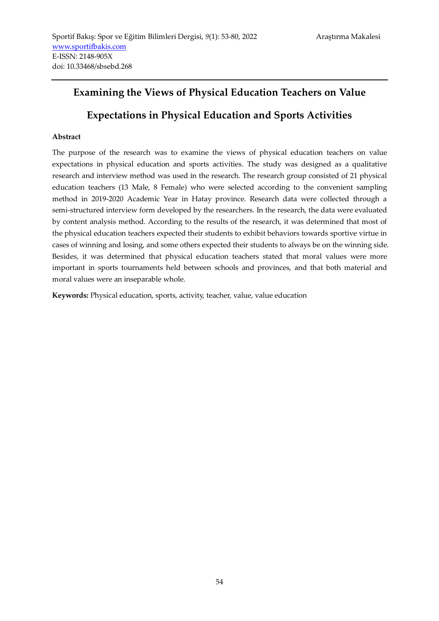# **Examining the Views of Physical Education Teachers on Value**

# **Expectations in Physical Education and Sports Activities**

## **Abstract**

The purpose of the research was to examine the views of physical education teachers on value expectations in physical education and sports activities. The study was designed as a qualitative research and interview method was used in the research. The research group consisted of 21 physical education teachers (13 Male, 8 Female) who were selected according to the convenient sampling method in 2019-2020 Academic Year in Hatay province. Research data were collected through a semi-structured interview form developed by the researchers. In the research, the data were evaluated by content analysis method. According to the results of the research, it was determined that most of the physical education teachers expected their students to exhibit behaviors towards sportive virtue in cases of winning and losing, and some others expected their students to always be on the winning side. Besides, it was determined that physical education teachers stated that moral values were more important in sports tournaments held between schools and provinces, and that both material and moral values were an inseparable whole.

**Keywords:** Physical education, sports, activity, teacher, value, value education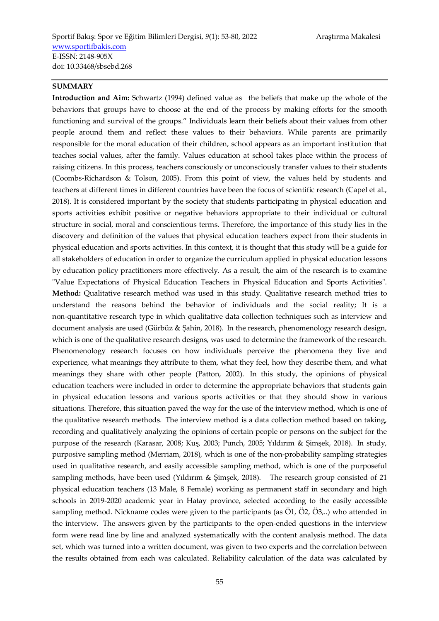#### **SUMMARY**

**Introduction and Aim:** Schwartz (1994) defined value as the beliefs that make up the whole of the behaviors that groups have to choose at the end of the process by making efforts for the smooth functioning and survival of the groups." Individuals learn their beliefs about their values from other people around them and reflect these values to their behaviors. While parents are primarily responsible for the moral education of their children, school appears as an important institution that teaches social values, after the family. Values education at school takes place within the process of raising citizens. In this process, teachers consciously or unconsciously transfer values to their students (Coombs-Richardson & Tolson, 2005). From this point of view, the values held by students and teachers at different times in different countries have been the focus of scientific research (Capel et al., 2018). It is considered important by the society that students participating in physical education and sports activities exhibit positive or negative behaviors appropriate to their individual or cultural structure in social, moral and conscientious terms. Therefore, the importance of this study lies in the discovery and definition of the values that physical education teachers expect from their students in physical education and sports activities. In this context, it is thought that this study will be a guide for all stakeholders of education in order to organize the curriculum applied in physical education lessons by education policy practitioners more effectively. As a result, the aim of the research is to examine "Value Expectations of Physical Education Teachers in Physical Education and Sports Activities". **Method:** Qualitative research method was used in this study. Qualitative research method tries to understand the reasons behind the behavior of individuals and the social reality; It is a non-quantitative research type in which qualitative data collection techniques such as interview and document analysis are used (Gürbüz & Şahin, 2018). In the research, phenomenology research design, which is one of the qualitative research designs, was used to determine the framework of the research. Phenomenology research focuses on how individuals perceive the phenomena they live and experience, what meanings they attribute to them, what they feel, how they describe them, and what meanings they share with other people (Patton, 2002). In this study, the opinions of physical education teachers were included in order to determine the appropriate behaviors that students gain in physical education lessons and various sports activities or that they should show in various situations. Therefore, this situation paved the way for the use of the interview method, which is one of the qualitative research methods. The interview method is a data collection method based on taking, recording and qualitatively analyzing the opinions of certain people or persons on the subject for the purpose of the research (Karasar, 2008; Kuş, 2003; Punch, 2005; Yıldırım & Şimşek, 2018). In study, purposive sampling method (Merriam, 2018), which is one of the non-probability sampling strategies used in qualitative research, and easily accessible sampling method, which is one of the purposeful sampling methods, have been used (Yıldırım & Şimşek, 2018). The research group consisted of 21 physical education teachers (13 Male, 8 Female) working as permanent staff in secondary and high schools in 2019-2020 academic year in Hatay province, selected according to the easily accessible sampling method. Nickname codes were given to the participants (as Ö1, Ö2, Ö3,..) who attended in the interview. The answers given by the participants to the open-ended questions in the interview form were read line by line and analyzed systematically with the content analysis method. The data set, which was turned into a written document, was given to two experts and the correlation between the results obtained from each was calculated. Reliability calculation of the data was calculated by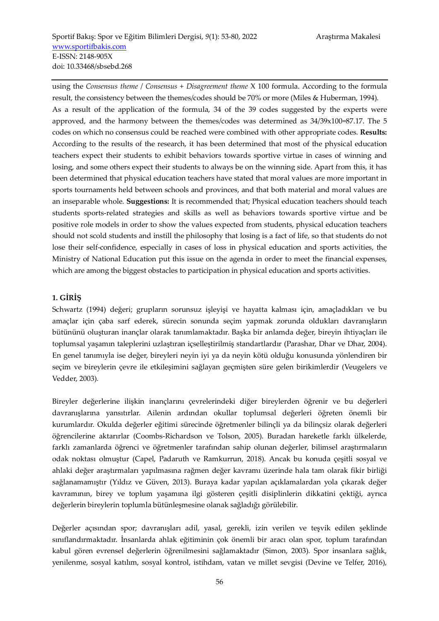using the *Consensus theme* / *Consensus* + *Disagreement theme* X 100 formula. According to the formula result, the consistency between the themes/codes should be 70% or more (Miles & Huberman, 1994). As a result of the application of the formula, 34 of the 39 codes suggested by the experts were approved, and the harmony between the themes/codes was determined as  $34/39x100=87.17$ . The 5 codes on which no consensus could be reached were combined with other appropriate codes. **Results:** According to the results of the research, it has been determined that most of the physical education teachers expect their students to exhibit behaviors towards sportive virtue in cases of winning and losing, and some others expect their students to always be on the winning side. Apart from this, it has been determined that physical education teachers have stated that moral values are more important in sports tournaments held between schools and provinces, and that both material and moral values are an inseparable whole. **Suggestions:** It is recommended that; Physical education teachers should teach students sports-related strategies and skills as well as behaviors towards sportive virtue and be positive role models in order to show the values expected from students, physical education teachers should not scold students and instill the philosophy that losing is a fact of life, so that students do not lose their self-confidence, especially in cases of loss in physical education and sports activities, the Ministry of National Education put this issue on the agenda in order to meet the financial expenses, which are among the biggest obstacles to participation in physical education and sports activities.

#### **1. GİRİŞ**

Schwartz (1994) değeri; grupların sorunsuz işleyişi ve hayatta kalması için, amaçladıkları ve bu amaçlar için çaba sarf ederek, sürecin sonunda seçim yapmak zorunda oldukları davranışların bütününü oluşturan inançlar olarak tanımlamaktadır. Başka bir anlamda değer, bireyin ihtiyaçları ile toplumsal yaşamın taleplerini uzlaştıran içselleştirilmiş standartlardır (Parashar, Dhar ve Dhar, 2004). En genel tanımıyla ise değer, bireyleri neyin iyi ya da neyin kötü olduğu konusunda yönlendiren bir seçim ve bireylerin çevre ile etkileşimini sağlayan geçmişten süre gelen birikimlerdir (Veugelers ve Vedder, 2003).

Bireyler değerlerine ilişkin inançlarını çevrelerindeki diğer bireylerden öğrenir ve bu değerleri davranışlarına yansıtırlar. Ailenin ardından okullar toplumsal değerleri öğreten önemli bir kurumlardır. Okulda değerler eğitimi sürecinde öğretmenler bilinçli ya da bilinçsiz olarak değerleri öğrencilerine aktarırlar (Coombs-Richardson ve Tolson, 2005). Buradan hareketle farklı ülkelerde, farklı zamanlarda öğrenci ve öğretmenler tarafından sahip olunan değerler, bilimsel araştırmaların odak noktası olmuştur (Capel, Padaruth ve Ramkurrun, 2018). Ancak bu konuda çeşitli sosyal ve ahlaki değer araştırmaları yapılmasına rağmen değer kavramı üzerinde hala tam olarak fikir birliği sağlanamamıştır (Yıldız ve Güven, 2013). Buraya kadar yapılan açıklamalardan yola çıkarak değer kavramının, birey ve toplum yaşamına ilgi gösteren çeşitli disiplinlerin dikkatini çektiği, ayrıca değerlerin bireylerin toplumla bütünleşmesine olanak sağladığı görülebilir.

Değerler açısından spor; davranışları adil, yasal, gerekli, izin verilen ve teşvik edilen şeklinde sınıflandırmaktadır. İnsanlarda ahlak eğitiminin çok önemli bir aracı olan spor, toplum tarafından kabul gören evrensel değerlerin öğrenilmesini sağlamaktadır (Simon, 2003). Spor insanlara sağlık, yenilenme, sosyal katılım, sosyal kontrol, istihdam, vatan ve millet sevgisi (Devine ve Telfer, 2016),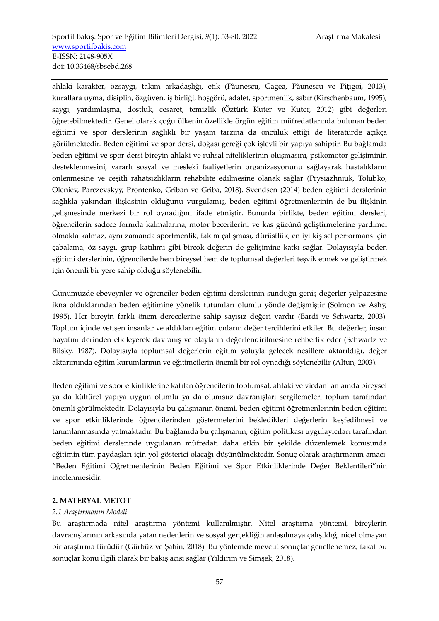ahlaki karakter, özsaygı, takım arkadaşlığı, etik (Păunescu, Gagea, Păunescu ve Piţigoi, 2013), kurallara uyma, disiplin, özgüven, iş birliği, hoşgörü, adalet, sportmenlik, sabır (Kirschenbaum, 1995), saygı, yardımlaşma, dostluk, cesaret, temizlik (Öztürk Kuter ve Kuter, 2012) gibi değerleri öğretebilmektedir. Genel olarak çoğu ülkenin özellikle örgün eğitim müfredatlarında bulunan beden eğitimi ve spor derslerinin sağlıklı bir yaşam tarzına da öncülük ettiği de literatürde açıkça görülmektedir. Beden eğitimi ve spor dersi, doğası gereği çok işlevli bir yapıya sahiptir. Bu bağlamda beden eğitimi ve spor dersi bireyin ahlaki ve ruhsal niteliklerinin oluşmasını, psikomotor gelişiminin desteklenmesini, yararlı sosyal ve mesleki faaliyetlerin organizasyonunu sağlayarak hastalıkların önlenmesine ve çeşitli rahatsızlıkların rehabilite edilmesine olanak sağlar (Prysiazhniuk, Tolubko, Oleniev, Parczevskyy, Prontenko, Griban ve Griba, 2018). Svendsen (2014) beden eğitimi derslerinin sağlıkla yakından ilişkisinin olduğunu vurgulamış, beden eğitimi öğretmenlerinin de bu ilişkinin gelişmesinde merkezi bir rol oynadığını ifade etmiştir. Bununla birlikte, beden eğitimi dersleri; öğrencilerin sadece formda kalmalarına, motor becerilerini ve kas gücünü geliştirmelerine yardımcı olmakla kalmaz, aynı zamanda sportmenlik, takım çalışması, dürüstlük, en iyi kişisel performans için çabalama, öz saygı, grup katılımı gibi birçok değerin de gelişimine katkı sağlar. Dolayısıyla beden eğitimi derslerinin, öğrencilerde hem bireysel hem de toplumsal değerleri teşvik etmek ve geliştirmek için önemli bir yere sahip olduğu söylenebilir.

Günümüzde ebeveynler ve öğrenciler beden eğitimi derslerinin sunduğu geniş değerler yelpazesine ikna olduklarından beden eğitimine yönelik tutumları olumlu yönde değişmiştir (Solmon ve Ashy, 1995). Her bireyin farklı önem derecelerine sahip sayısız değeri vardır (Bardi ve Schwartz, 2003). Toplum içinde yetişen insanlar ve aldıkları eğitim onların değer tercihlerini etkiler. Bu değerler, insan hayatını derinden etkileyerek davranış ve olayların değerlendirilmesine rehberlik eder (Schwartz ve Bilsky, 1987). Dolayısıyla toplumsal değerlerin eğitim yoluyla gelecek nesillere aktarıldığı, değer aktarımında eğitim kurumlarının ve eğitimcilerin önemli bir rol oynadığı söylenebilir (Altun, 2003).

Beden eğitimi ve spor etkinliklerine katılan öğrencilerin toplumsal, ahlaki ve vicdani anlamda bireysel ya da kültürel yapıya uygun olumlu ya da olumsuz davranışları sergilemeleri toplum tarafından önemli görülmektedir. Dolayısıyla bu çalışmanın önemi, beden eğitimi öğretmenlerinin beden eğitimi ve spor etkinliklerinde öğrencilerinden göstermelerini bekledikleri değerlerin keşfedilmesi ve tanımlanmasında yatmaktadır. Bu bağlamda bu çalışmanın, eğitim politikası uygulayıcıları tarafından beden eğitimi derslerinde uygulanan müfredatı daha etkin bir şekilde düzenlemek konusunda eğitimin tüm paydaşları için yol gösterici olacağı düşünülmektedir. Sonuç olarak araştırmanın amacı: "Beden Eğitimi Öğretmenlerinin Beden Eğitimi ve Spor Etkinliklerinde Değer Beklentileri"nin incelenmesidir.

#### **2. MATERYAL METOT**

#### *2.1 Araştırmanın Modeli*

Bu araştırmada nitel araştırma yöntemi kullanılmıştır. Nitel araştırma yöntemi, bireylerin davranışlarının arkasında yatan nedenlerin ve sosyal gerçekliğin anlaşılmaya çalışıldığı nicel olmayan bir araştırma türüdür (Gürbüz ve Şahin, 2018). Bu yöntemde mevcut sonuçlar genellenemez, fakat bu sonuçlar konu ilgili olarak bir bakış açısı sağlar (Yıldırım ve Şimşek, 2018).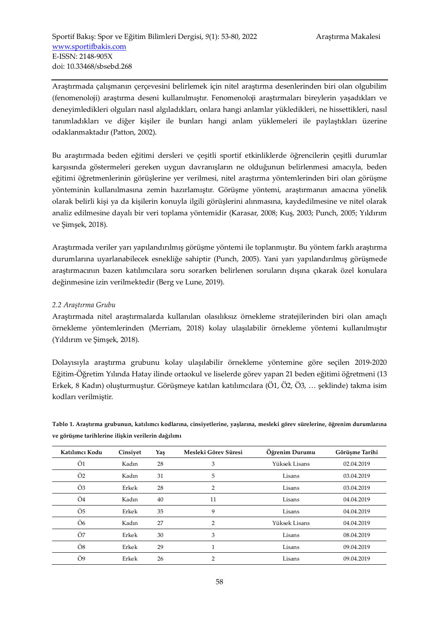Araştırmada çalışmanın çerçevesini belirlemek için nitel araştırma desenlerinden biri olan olgubilim (fenomenoloji) araştırma deseni kullanılmıştır. Fenomenoloji araştırmaları bireylerin yaşadıkları ve deneyimledikleri olguları nasıl algıladıkları, onlara hangi anlamlar yükledikleri, ne hissettikleri, nasıl tanımladıkları ve diğer kişiler ile bunları hangi anlam yüklemeleri ile paylaştıkları üzerine odaklanmaktadır (Patton, 2002).

Bu araştırmada beden eğitimi dersleri ve çeşitli sportif etkinliklerde öğrencilerin çeşitli durumlar karşısında göstermeleri gereken uygun davranışların ne olduğunun belirlenmesi amacıyla, beden eğitimi öğretmenlerinin görüşlerine yer verilmesi, nitel araştırma yöntemlerinden biri olan görüşme yönteminin kullanılmasına zemin hazırlamıştır. Görüşme yöntemi, araştırmanın amacına yönelik olarak belirli kişi ya da kişilerin konuyla ilgili görüşlerini alınmasına, kaydedilmesine ve nitel olarak analiz edilmesine dayalı bir veri toplama yöntemidir (Karasar, 2008; Kuş, 2003; Punch, 2005; Yıldırım ve Şimşek, 2018).

Araştırmada veriler yarı yapılandırılmış görüşme yöntemi ile toplanmıştır. Bu yöntem farklı araştırma durumlarına uyarlanabilecek esnekliğe sahiptir (Punch, 2005). Yani yarı yapılandırılmış görüşmede araştırmacının bazen katılımcılara soru sorarken belirlenen soruların dışına çıkarak özel konulara değinmesine izin verilmektedir (Berg ve Lune, 2019).

## *2.2 Araştırma Grubu*

Araştırmada nitel araştırmalarda kullanılan olasılıksız örnekleme stratejilerinden biri olan amaçlı örnekleme yöntemlerinden (Merriam, 2018) kolay ulaşılabilir örnekleme yöntemi kullanılmıştır (Yıldırım ve Şimşek, 2018).

Dolayısıyla araştırma grubunu kolay ulaşılabilir örnekleme yöntemine göre seçilen 2019-2020 Eğitim-Öğretim Yılında Hatay ilinde ortaokul ve liselerde görev yapan 21 beden eğitimi öğretmeni (13 Erkek, 8 Kadın) oluşturmuştur. Görüşmeye katılan katılımcılara (Ö1, Ö2, Ö3, … şeklinde) takma isim kodları verilmiştir.

| Katılımcı Kodu | Cinsiyet | Yaş | Mesleki Görev Süresi | Öğrenim Durumu | Görüşme Tarihi |
|----------------|----------|-----|----------------------|----------------|----------------|
| Ö1             | Kadın    | 28  | 3                    | Yüksek Lisans  | 02.04.2019     |
| Ö <sub>2</sub> | Kadın    | 31  | 5                    | Lisans         | 03.04.2019     |
| Ö3             | Erkek    | 28  | 2                    | Lisans         | 03.04.2019     |
| Ö4             | Kadın    | 40  | 11                   | Lisans         | 04.04.2019     |
| Ö5             | Erkek    | 35  | 9                    | Lisans         | 04.04.2019     |
| Ö <sub>6</sub> | Kadın    | 27  | 2                    | Yüksek Lisans  | 04.04.2019     |
| Ö7             | Erkek    | 30  | 3                    | Lisans         | 08.04.2019     |
| Ö8             | Erkek    | 29  |                      | Lisans         | 09.04.2019     |
| Ö9             | Erkek    | 26  | 2                    | Lisans         | 09.04.2019     |

**Tablo 1. Araştırma grubunun, katılımcı kodlarına, cinsiyetlerine, yaşlarına, mesleki görev sürelerine, öğrenim durumlarına ve görüşme tarihlerine ilişkin verilerin dağılımı**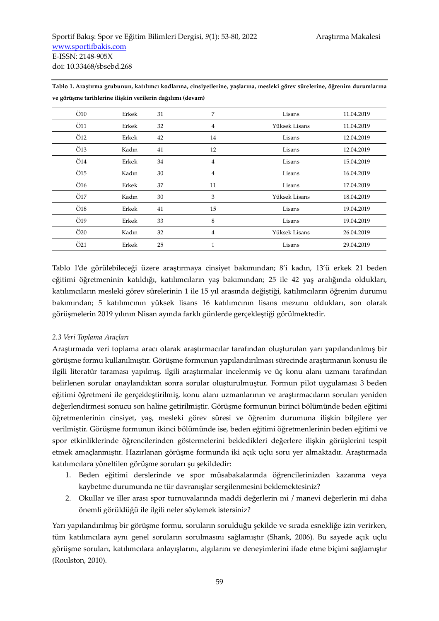| Ö10                    | Erkek | 31 | 7              | Lisans        | 11.04.2019 |
|------------------------|-------|----|----------------|---------------|------------|
| Ö11                    | Erkek | 32 | $\overline{4}$ | Yüksek Lisans | 11.04.2019 |
| Ö12                    | Erkek | 42 | 14             | Lisans        | 12.04.2019 |
| Ö13                    | Kadın | 41 | 12             | Lisans        | 12.04.2019 |
| Ö14                    | Erkek | 34 | 4              | Lisans        | 15.04.2019 |
| $\ddot{\mathrm{O}}$ 15 | Kadın | 30 | 4              | Lisans        | 16.04.2019 |
| Ö16                    | Erkek | 37 | 11             | Lisans        | 17.04.2019 |
| Ö17                    | Kadın | 30 | 3              | Yüksek Lisans | 18.04.2019 |
| Ö18                    | Erkek | 41 | 15             | Lisans        | 19.04.2019 |
| Ö19                    | Erkek | 33 | 8              | Lisans        | 19.04.2019 |
| Ö20                    | Kadın | 32 | $\overline{4}$ | Yüksek Lisans | 26.04.2019 |
| Ö21                    | Erkek | 25 | 1              | Lisans        | 29.04.2019 |

**Tablo 1. Araştırma grubunun, katılımcı kodlarına, cinsiyetlerine, yaşlarına, mesleki görev sürelerine, öğrenim durumlarına ve görüşme tarihlerine ilişkin verilerin dağılımı (devam)**

Tablo 1'de görülebileceği üzere araştırmaya cinsiyet bakımından; 8'i kadın, 13'ü erkek 21 beden eğitimi öğretmeninin katıldığı, katılımcıların yaş bakımından; 25 ile 42 yaş aralığında oldukları, katılımcıların mesleki görev sürelerinin 1 ile 15 yıl arasında değiştiği, katılımcıların öğrenim durumu bakımından; 5 katılımcının yüksek lisans 16 katılımcının lisans mezunu oldukları, son olarak görüşmelerin 2019 yılının Nisan ayında farklı günlerde gerçekleştiği görülmektedir.

#### *2.3 Veri Toplama Araçları*

Araştırmada veri toplama aracı olarak araştırmacılar tarafından oluşturulan yarı yapılandırılmış bir görüşme formu kullanılmıştır. Görüşme formunun yapılandırılması sürecinde araştırmanın konusu ile ilgili literatür taraması yapılmış, ilgili araştırmalar incelenmiş ve üç konu alanı uzmanı tarafından belirlenen sorular onaylandıktan sonra sorular oluşturulmuştur. Formun pilot uygulaması 3 beden eğitimi öğretmeni ile gerçekleştirilmiş, konu alanı uzmanlarının ve araştırmacıların soruları yeniden değerlendirmesi sonucu son haline getirilmiştir. Görüşme formunun birinci bölümünde beden eğitimi öğretmenlerinin cinsiyet, yaş, mesleki görev süresi ve öğrenim durumuna ilişkin bilgilere yer verilmiştir. Görüşme formunun ikinci bölümünde ise, beden eğitimi öğretmenlerinin beden eğitimi ve spor etkinliklerinde öğrencilerinden göstermelerini bekledikleri değerlere ilişkin görüşlerini tespit etmek amaçlanmıştır. Hazırlanan görüşme formunda iki açık uçlu soru yer almaktadır. Araştırmada katılımcılara yöneltilen görüşme soruları şu şekildedir:

- 1. Beden eğitimi derslerinde ve spor müsabakalarında öğrencilerinizden kazanma veya kaybetme durumunda ne tür davranışlar sergilenmesini beklemektesiniz?
- 2. Okullar ve iller arası spor turnuvalarında maddi değerlerin mi / manevi değerlerin mi daha önemli görüldüğü ile ilgili neler söylemek istersiniz?

Yarı yapılandırılmış bir görüşme formu, soruların sorulduğu şekilde ve sırada esnekliğe izin verirken, tüm katılımcılara aynı genel soruların sorulmasını sağlamıştır (Shank, 2006). Bu sayede açık uçlu görüşme soruları, katılımcılara anlayışlarını, algılarını ve deneyimlerini ifade etme biçimi sağlamıştır (Roulston, 2010).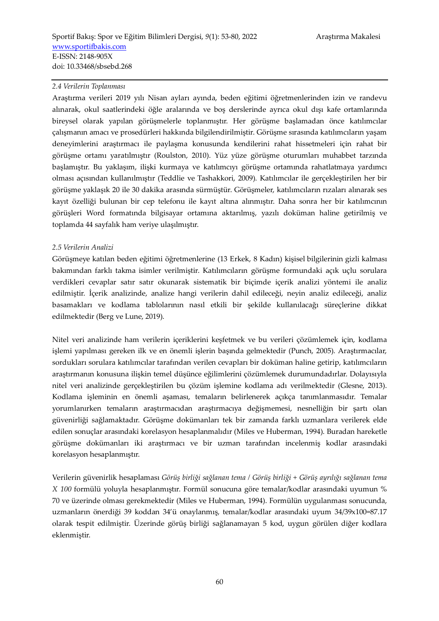#### *2.4 Verilerin Toplanması*

Araştırma verileri 2019 yılı Nisan ayları ayında, beden eğitimi öğretmenlerinden izin ve randevu alınarak, okul saatlerindeki öğle aralarında ve boş derslerinde ayrıca okul dışı kafe ortamlarında bireysel olarak yapılan görüşmelerle toplanmıştır. Her görüşme başlamadan önce katılımcılar çalışmanın amacı ve prosedürleri hakkında bilgilendirilmiştir. Görüşme sırasında katılımcıların yaşam deneyimlerini araştırmacı ile paylaşma konusunda kendilerini rahat hissetmeleri için rahat bir görüşme ortamı yaratılmıştır (Roulston, 2010). Yüz yüze görüşme oturumları muhabbet tarzında başlamıştır. Bu yaklaşım, ilişki kurmaya ve katılımcıyı görüşme ortamında rahatlatmaya yardımcı olması açısından kullanılmıştır (Teddlie ve Tashakkori, 2009). Katılımcılar ile gerçekleştirilen her bir görüşme yaklaşık 20 ile 30 dakika arasında sürmüştür. Görüşmeler, katılımcıların rızaları alınarak ses kayıt özelliği bulunan bir cep telefonu ile kayıt altına alınmıştır. Daha sonra her bir katılımcının görüşleri Word formatında bilgisayar ortamına aktarılmış, yazılı doküman haline getirilmiş ve toplamda 44 sayfalık ham veriye ulaşılmıştır.

#### *2.5 Verilerin Analizi*

Görüşmeye katılan beden eğitimi öğretmenlerine (13 Erkek, 8 Kadın) kişisel bilgilerinin gizli kalması bakımından farklı takma isimler verilmiştir. Katılımcıların görüşme formundaki açık uçlu sorulara verdikleri cevaplar satır satır okunarak sistematik bir biçimde içerik analizi yöntemi ile analiz edilmiştir. İçerik analizinde, analize hangi verilerin dahil edileceği, neyin analiz edileceği, analiz basamakları ve kodlama tablolarının nasıl etkili bir şekilde kullanılacağı süreçlerine dikkat edilmektedir (Berg ve Lune, 2019).

Nitel veri analizinde ham verilerin içeriklerini keşfetmek ve bu verileri çözümlemek için, kodlama işlemi yapılması gereken ilk ve en önemli işlerin başında gelmektedir (Punch, 2005). Araştırmacılar, sordukları sorulara katılımcılar tarafından verilen cevapları bir doküman haline getirip, katılımcıların araştırmanın konusuna ilişkin temel düşünce eğilimlerini çözümlemek durumundadırlar. Dolayısıyla nitel veri analizinde gerçekleştirilen bu çözüm işlemine kodlama adı verilmektedir (Glesne, 2013). Kodlama işleminin en önemli aşaması, temaların belirlenerek açıkça tanımlanmasıdır. Temalar yorumlanırken temaların araştırmacıdan araştırmacıya değişmemesi, nesnelliğin bir şartı olan güvenirliği sağlamaktadır. Görüşme dokümanları tek bir zamanda farklı uzmanlara verilerek elde edilen sonuçlar arasındaki korelasyon hesaplanmalıdır (Miles ve Huberman, 1994). Buradan hareketle görüşme dokümanları iki araştırmacı ve bir uzman tarafından incelenmiş kodlar arasındaki korelasyon hesaplanmıştır.

Verilerin güvenirlik hesaplaması *Görüş birliği sağlanan tema / Görüş birliği + Görüş ayrılığı sağlanan tema X 100* formülü yoluyla hesaplanmıştır. Formül sonucuna göre temalar/kodlar arasındaki uyumun % 70 ve üzerinde olması gerekmektedir (Miles ve Huberman, 1994). Formülün uygulanması sonucunda, uzmanların önerdiği 39 koddan 34'ü onaylanmış, temalar/kodlar arasındaki uyum 34/39x100=87.17 olarak tespit edilmiştir. Üzerinde görüş birliği sağlanamayan 5 kod, uygun görülen diğer kodlara eklenmiştir.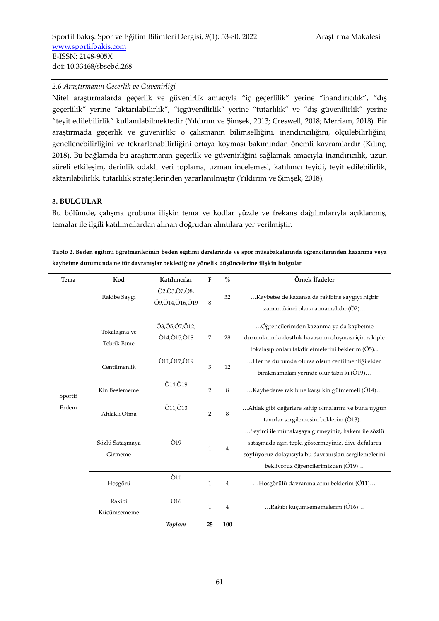#### *2.6 Araştırmanın Geçerlik ve Güvenirliği*

Nitel araştırmalarda geçerlik ve güvenirlik amacıyla "iç geçerlilik" yerine "inandırıcılık", "dış geçerlilik" yerine "aktarılabilirlik", "içgüvenilirlik" yerine "tutarlılık" ve "dış güvenilirlik" yerine "teyit edilebilirlik" kullanılabilmektedir (Yıldırım ve Şimşek, 2013; Creswell, 2018; Merriam, 2018). Bir araştırmada geçerlik ve güvenirlik; o çalışmanın bilimselliğini, inandırıcılığını, ölçülebilirliğini, genellenebilirliğini ve tekrarlanabilirliğini ortaya koyması bakımından önemli kavramlardır (Kılınç, 2018). Bu bağlamda bu araştırmanın geçerlik ve güvenirliğini sağlamak amacıyla inandırıcılık, uzun süreli etkileşim, derinlik odaklı veri toplama, uzman incelemesi, katılımcı teyidi, teyit edilebilirlik, aktarılabilirlik, tutarlılık stratejilerinden yararlanılmıştır (Yıldırım ve Şimşek, 2018).

#### **3. BULGULAR**

Bu bölümde, çalışma grubuna ilişkin tema ve kodlar yüzde ve frekans dağılımlarıyla açıklanmış, temalar ile ilgili katılımcılardan alınan doğrudan alıntılara yer verilmiştir.

**Tablo 2. Beden eğitimi öğretmenlerinin beden eğitimi derslerinde ve spor müsabakalarında öğrencilerinden kazanma veya kaybetme durumunda ne tür davranışlar beklediğine yönelik düşüncelerine ilişkin bulgular** 

| Tema    | Kod                         | Katılımcılar                   | F              | $\%$           | Örnek İfadeler                                                                                                                                                                                            |
|---------|-----------------------------|--------------------------------|----------------|----------------|-----------------------------------------------------------------------------------------------------------------------------------------------------------------------------------------------------------|
|         | Rakibe Saygı                | Ö2,Ö3,Ö7,Ö8,<br>Ö9,Ö14,Ö16,Ö19 | 8              | 32             | Kaybetse de kazansa da rakibine saygıyı hiçbir<br>zaman ikinci plana atmamalıdır (Ö2)                                                                                                                     |
|         | Tokalaşma ve<br>Tebrik Etme | Ö3,Ö5,Ö7,Ö12,<br>Ö14,Ö15,Ö18   | 7              | 28             | Öğrencilerimden kazanma ya da kaybetme<br>durumlarında dostluk havasının oluşması için rakiple<br>tokalaşıp onları takdir etmelerini beklerim (Ö5)                                                        |
|         | Centilmenlik                | Ö11,Ö17,Ö19                    | 3              | 12             | Her ne durumda olursa olsun centilmenliği elden<br>bırakmamaları yerinde olur tabii ki (Ö19)                                                                                                              |
| Sportif | Kin Beslememe               | Ö14,Ö19                        | $\overline{2}$ | 8              | Kaybederse rakibine karşı kin gütmemeli (Ö14)                                                                                                                                                             |
| Erdem   | Ahlaklı Olma                | Ö11,Ö13                        | $\overline{2}$ | 8              | Ahlak gibi değerlere sahip olmalarını ve buna uygun<br>tavırlar sergilemesini beklerim (Ö13)                                                                                                              |
|         | Sözlü Sataşmaya<br>Girmeme  | Ö19                            | $\mathbf{1}$   | 4              | Seyirci ile münakaşaya girmeyiniz, hakem ile sözlü<br>sataşmada aşırı tepki göstermeyiniz, diye defalarca<br>söylüyoruz dolayısıyla bu davranışları sergilemelerini<br>bekliyoruz öğrencilerimizden (Ö19) |
|         | Hoşgörü                     | Ö11                            | $\mathbf 1$    | $\overline{4}$ | Hoşgörülü davranmalarını beklerim (Ö11)                                                                                                                                                                   |
|         | Rakibi<br>Küçümsememe       | $\ddot{\mathrm{O}}$ 16         | $\mathbf{1}$   | $\overline{4}$ | Rakibi küçümsememelerini (Ö16)                                                                                                                                                                            |
|         |                             | Toplam                         | 25             | 100            |                                                                                                                                                                                                           |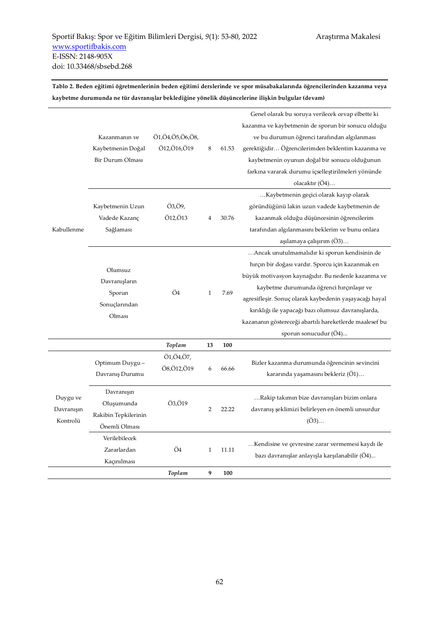**Tablo 2. Beden eğitimi öğretmenlerinin beden eğitimi derslerinde ve spor müsabakalarında öğrencilerinden kazanma veya kaybetme durumunda ne tür davranışlar beklediğine yönelik düşüncelerine ilişkin bulgular (devam)** 

|            |                         |                 |                |       | Genel olarak bu soruya verilecek cevap elbette ki       |
|------------|-------------------------|-----------------|----------------|-------|---------------------------------------------------------|
|            |                         |                 |                |       | kazanma ve kaybetmenin de sporun bir sonucu olduğu      |
|            | Kazanmanın ve           | Ö1,Ö4,Ö5,Ö6,Ö8, |                |       | ve bu durumun öğrenci tarafından algılanması            |
|            | Kaybetmenin Doğal       | Ö12,Ö16,Ö19     | 8              | 61.53 | gerektiğidir Öğrencilerimden beklentim kazanma ve       |
|            | Bir Durum Olması        |                 |                |       | kaybetmenin oyunun doğal bir sonucu olduğunun           |
|            |                         |                 |                |       | farkına vararak durumu içselleştirilmeleri yönünde      |
|            |                         |                 |                |       | olacaktır (Ö4)                                          |
|            |                         |                 |                |       | Kaybetmenin geçici olarak kayıp olarak                  |
|            | Kaybetmenin Uzun        | Ö3,Ö9,          |                |       | göründüğünü lakin uzun vadede kaybetmenin de            |
|            | Vadede Kazanç           | Ö12,Ö13         | 4              | 30.76 | kazanmak olduğu düşüncesinin öğrencilerim               |
| Kabullenme | Sağlaması               |                 |                |       | tarafından algılanmasını beklerim ve bunu onlara        |
|            |                         |                 |                |       | aşılamaya çalışırım (O3)                                |
|            |                         |                 |                |       | Ancak unutulmamalıdır ki sporun kendisinin de           |
|            | Olumsuz                 |                 | $\mathbf{1}$   | 7.69  | hırçın bir doğası vardır. Sporcu için kazanmak en       |
|            |                         |                 |                |       | büyük motivasyon kaynağıdır. Bu nedenle kazanma ve      |
|            | Davranışların           | Ö4              |                |       | kaybetme durumunda öğrenci hırçınlaşır ve               |
|            | Sporun                  |                 |                |       | agresifleşir. Sonuç olarak kaybedenin yaşayacağı hayal  |
|            | Sonuçlarından<br>Olması |                 |                |       | kırıklığı ile yapacağı bazı olumsuz davranışlarda,      |
|            |                         |                 |                |       | kazananın göstereceği abartılı hareketlerde maalesef bu |
|            |                         |                 |                |       | sporun sonucudur (Ö4)                                   |
|            |                         | Toplam          | 13             | 100   |                                                         |
|            | Optimum Duygu-          | Ö1,Ö4,Ö7,       |                |       | Bizler kazanma durumunda öğrencinin sevincini           |
|            | Davranış Durumu         | Ö8,Ö12,Ö19      | 6              | 66.66 | kararında yaşamasını bekleriz (O1)                      |
|            |                         |                 |                |       |                                                         |
| Duygu ve   | Davranışın              |                 |                |       | Rakip takımın bize davranışları bizim onlara            |
| Davranışın | Oluşumunda              | Ö3,Ö19          | $\overline{2}$ | 22.22 | davranış şeklimizi belirleyen en önemli unsurdur        |
| Kontrolü   | Rakibin Tepkilerinin    |                 |                |       | (O3)                                                    |
|            | Önemli Olması           |                 |                |       |                                                         |
|            | Verilebilecek           |                 |                |       |                                                         |
|            | Zararlardan             | Ö4              | $\mathbf{1}$   | 11.11 | Kendisine ve çevresine zarar vermemesi kaydı ile        |
|            | Kaçınılması             |                 |                |       | bazı davranışlar anlayışla karşılanabilir (O4)          |
|            |                         | Toplam          | 9              | 100   |                                                         |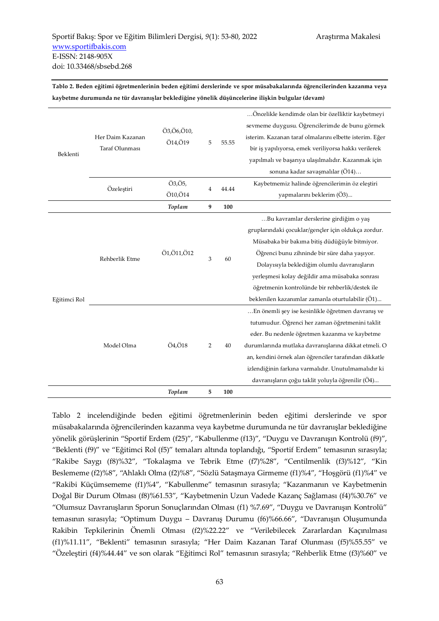**Tablo 2. Beden eğitimi öğretmenlerinin beden eğitimi derslerinde ve spor müsabakalarında öğrencilerinden kazanma veya kaybetme durumunda ne tür davranışlar beklediğine yönelik düşüncelerine ilişkin bulgular (devam)** 

|                                                      |                               |                           |                                                                                                                                       |       | Öncelikle kendimde olan bir özelliktir kaybetmeyi     |
|------------------------------------------------------|-------------------------------|---------------------------|---------------------------------------------------------------------------------------------------------------------------------------|-------|-------------------------------------------------------|
|                                                      |                               |                           | sevmeme duygusu. Öğrencilerimde de bunu görmek<br>Ö3,Ö6,Ö10,<br>isterim. Kazanan taraf olmalarını elbette isterim. Eğer<br>5<br>55.55 |       |                                                       |
| Her Daim Kazanan<br>Ö14,Ö19<br><b>Taraf Olunması</b> |                               |                           |                                                                                                                                       |       |                                                       |
| Beklenti                                             |                               |                           |                                                                                                                                       |       | bir iş yapılıyorsa, emek veriliyorsa hakkı verilerek  |
|                                                      |                               |                           |                                                                                                                                       |       | yapılmalı ve başarıya ulaşılmalıdır. Kazanmak için    |
|                                                      |                               |                           |                                                                                                                                       |       | sonuna kadar savaşmalılar (Ö14)                       |
|                                                      | Özeleştiri                    | Ö3,Ö5,                    | $\overline{4}$                                                                                                                        | 44.44 | Kaybetmemiz halinde öğrencilerimin öz eleştiri        |
|                                                      | Ö10,Ö14<br>Toplam<br>9<br>100 | yapmalarını beklerim (Ö3) |                                                                                                                                       |       |                                                       |
|                                                      |                               |                           |                                                                                                                                       |       |                                                       |
|                                                      |                               |                           |                                                                                                                                       |       | Bu kavramlar derslerine girdiğim o yaş                |
|                                                      | Rehberlik Etme                | Ö1, Ö11, Ö12              | 3                                                                                                                                     | 60    | gruplarındaki çocuklar/gençler için oldukça zordur.   |
|                                                      |                               |                           |                                                                                                                                       |       | Müsabaka bir bakıma bitiş düdüğüyle bitmiyor.         |
|                                                      |                               |                           |                                                                                                                                       |       | Öğrenci bunu zihninde bir süre daha yaşıyor.          |
|                                                      |                               |                           |                                                                                                                                       |       | Dolayısıyla beklediğim olumlu davranışların           |
|                                                      |                               |                           |                                                                                                                                       |       | yerleşmesi kolay değildir ama müsabaka sonrası        |
|                                                      |                               |                           |                                                                                                                                       |       | öğretmenin kontrolünde bir rehberlik/destek ile       |
| Eğitimci Rol                                         |                               |                           |                                                                                                                                       |       | beklenilen kazanımlar zamanla oturtulabilir (Ö1)      |
|                                                      |                               |                           |                                                                                                                                       |       | En önemli şey ise kesinlikle öğretmen davranış ve     |
|                                                      |                               |                           |                                                                                                                                       |       | tutumudur. Öğrenci her zaman öğretmenini taklit       |
|                                                      |                               |                           |                                                                                                                                       |       | eder. Bu nedenle öğretmen kazanma ve kaybetme         |
|                                                      | Model Olma                    | Ö4,Ö18                    | 2                                                                                                                                     | 40    | durumlarında mutlaka davranışlarına dikkat etmeli. O  |
|                                                      |                               |                           |                                                                                                                                       |       | an, kendini örnek alan öğrenciler tarafından dikkatle |
|                                                      |                               |                           |                                                                                                                                       |       | izlendiğinin farkına varmalıdır. Unutulmamalıdır ki   |
|                                                      |                               |                           |                                                                                                                                       |       | davranışların çoğu taklit yoluyla öğrenilir (Ö4)      |
|                                                      |                               | Toplam                    | 5                                                                                                                                     | 100   |                                                       |

Tablo 2 incelendiğinde beden eğitimi öğretmenlerinin beden eğitimi derslerinde ve spor müsabakalarında öğrencilerinden kazanma veya kaybetme durumunda ne tür davranışlar beklediğine yönelik görüşlerinin "Sportif Erdem (f25)", "Kabullenme (f13)", "Duygu ve Davranışın Kontrolü (f9)", "Beklenti (f9)" ve "Eğitimci Rol (f5)" temaları altında toplandığı, "Sportif Erdem" temasının sırasıyla; "Rakibe Saygı (f8)%32", "Tokalaşma ve Tebrik Etme (f7)%28", "Centilmenlik (f3)%12", "Kin Beslememe (f2)%8", "Ahlaklı Olma (f2)%8", "Sözlü Sataşmaya Girmeme (f1)%4", "Hoşgörü (f1)%4" ve "Rakibi Küçümsememe (f1)%4", "Kabullenme" temasının sırasıyla; "Kazanmanın ve Kaybetmenin Doğal Bir Durum Olması (f8)%61.53", "Kaybetmenin Uzun Vadede Kazanç Sağlaması (f4)%30.76" ve "Olumsuz Davranışların Sporun Sonuçlarından Olması (f1) %7.69", "Duygu ve Davranışın Kontrolü" temasının sırasıyla; "Optimum Duygu – Davranış Durumu (f6)%66.66", "Davranışın Oluşumunda Rakibin Tepkilerinin Önemli Olması (f2)%22.22" ve "Verilebilecek Zararlardan Kaçınılması (f1)%11.11", "Beklenti" temasının sırasıyla; "Her Daim Kazanan Taraf Olunması (f5)%55.55" ve "Özeleştiri (f4)%44.44" ve son olarak "Eğitimci Rol" temasının sırasıyla; "Rehberlik Etme (f3)%60" ve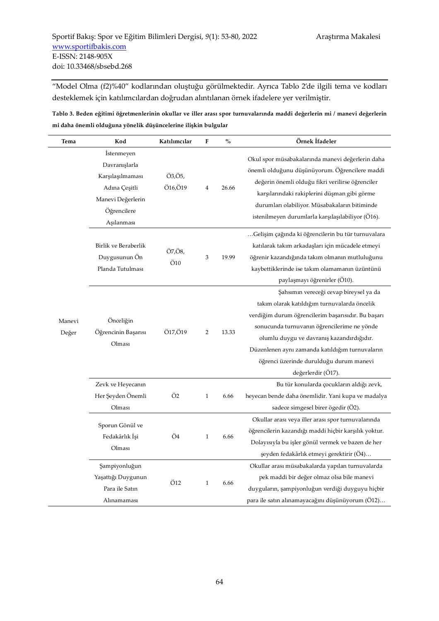"Model Olma (f2)%40" kodlarından oluştuğu görülmektedir. Ayrıca Tablo 2'de ilgili tema ve kodları desteklemek için katılımcılardan doğrudan alıntılanan örnek ifadelere yer verilmiştir.

**Tablo 3. Beden eğitimi öğretmenlerinin okullar ve iller arası spor turnuvalarında maddi değerlerin mi / manevi değerlerin mi daha önemli olduğuna yönelik düşüncelerine ilişkin bulgular** 

| Tema            | Kod                                                                                                                       | Katılımcılar                    | ${\bf F}$                 | $\frac{0}{0}$ | Örnek İfadeler                                                                                                                                                                                                                                                                                                                                               |
|-----------------|---------------------------------------------------------------------------------------------------------------------------|---------------------------------|---------------------------|---------------|--------------------------------------------------------------------------------------------------------------------------------------------------------------------------------------------------------------------------------------------------------------------------------------------------------------------------------------------------------------|
|                 | <i>Istenmeyen</i><br>Davranışlarla<br>Karşılaşılmaması<br>Adına Çeşitli<br>Manevi Değerlerin<br>Öğrencilere<br>Aşılanması | Ö3,Ö5,<br>Ö16,Ö19               | $\overline{4}$            | 26.66         | Okul spor müsabakalarında manevi değerlerin daha<br>önemli olduğunu düşünüyorum. Öğrencilere maddi<br>değerin önemli olduğu fikri verilirse öğrenciler<br>karşılarındaki rakiplerini düşman gibi görme<br>durumları olabiliyor. Müsabakaların bitiminde<br>istenilmeyen durumlarla karşılaşılabiliyor (Ö16).                                                 |
|                 | Birlik ve Beraberlik<br>Duygusunun Ön<br>Planda Tutulması                                                                 | Ö7,Ö8,<br>$\ddot{\mathrm{O}}10$ | $\ensuremath{\mathsf{3}}$ | 19.99         | Gelişim çağında ki öğrencilerin bu tür turnuvalara<br>katılarak takım arkadaşları için mücadele etmeyi<br>öğrenir kazandığında takım olmanın mutluluğunu<br>kaybettiklerinde ise takım olamamanın üzüntünü<br>paylaşmayı öğrenirler (Ö10).                                                                                                                   |
| Manevi<br>Değer | Önceliğin<br>Öğrencinin Başarısı<br>Olması                                                                                | Ö17,Ö19                         | 2                         | 13.33         | Şahsımın vereceği cevap bireysel ya da<br>takım olarak katıldığım turnuvalarda öncelik<br>verdiğim durum öğrencilerim başarısıdır. Bu başarı<br>sonucunda turnuvanın öğrencilerime ne yönde<br>olumlu duygu ve davranış kazandırdığıdır.<br>Düzenlenen aynı zamanda katıldığım turnuvaların<br>öğrenci üzerinde durulduğu durum manevi<br>değerlerdir (O17). |
|                 | Zevk ve Heyecanın<br>Her Şeyden Önemli<br>Olması                                                                          | Ö2                              | $\mathbf{1}$              | 6.66          | Bu tür konularda çocukların aldığı zevk,<br>heyecan bende daha önemlidir. Yani kupa ve madalya<br>sadece simgesel birer ögedir (O2).                                                                                                                                                                                                                         |
|                 | Sporun Gönül ve<br>Fedakârlık İşi<br>Olması                                                                               | Ö4                              | $\mathbf{1}$              | 6.66          | Okullar arası veya iller arası spor turnuvalarında<br>öğrencilerin kazandığı maddi hiçbir karşılık yoktur.<br>Dolayısıyla bu işler gönül vermek ve bazen de her<br>şeyden fedakârlık etmeyi gerektirir (O4)                                                                                                                                                  |
|                 | Şampiyonluğun<br>Yaşattığı Duygunun<br>Para ile Satın<br>Alınamaması                                                      | Ö12                             | $\mathbf{1}$              | 6.66          | Okullar arası müsabakalarda yapılan turnuvalarda<br>pek maddi bir değer olmaz olsa bile manevi<br>duyguların, şampiyonluğun verdiği duyguyu hiçbir<br>para ile satın alınamayacağını düşünüyorum (Ö12)                                                                                                                                                       |

 $\overline{a}$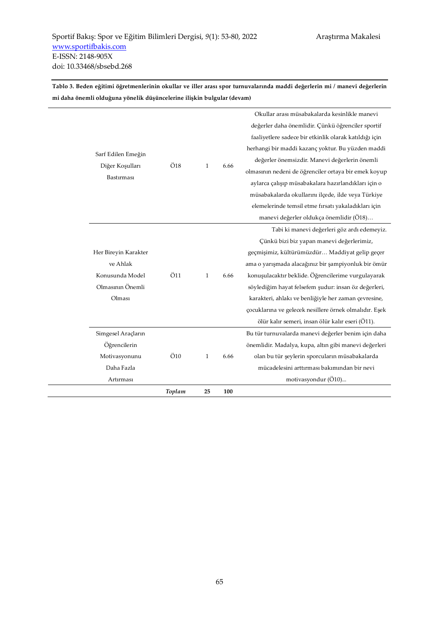**Tablo 3. Beden eğitimi öğretmenlerinin okullar ve iller arası spor turnuvalarında maddi değerlerin mi / manevi değerlerin mi daha önemli olduğuna yönelik düşüncelerine ilişkin bulgular (devam)** 

|                      | Toplam                 | 25           | 100  |                                                        |
|----------------------|------------------------|--------------|------|--------------------------------------------------------|
| Artırması            |                        |              |      | motivasyondur (Ö10)                                    |
| Daha Fazla           |                        |              |      | mücadelesini arttırması bakımından bir nevi            |
| Motivasyonunu        | $\ddot{\mathrm{O}}$ 10 | $\mathbf{1}$ | 6.66 | olan bu tür şeylerin sporcuların müsabakalarda         |
| Öğrencilerin         |                        |              |      | önemlidir. Madalya, kupa, altın gibi manevi değerleri  |
| Simgesel Araçların   |                        |              |      | Bu tür turnuvalarda manevi değerler benim için daha    |
|                      |                        |              |      | ölür kalır semeri, insan ölür kalır eseri (Ö11).       |
|                      |                        |              |      | çocuklarına ve gelecek nesillere örnek olmalıdır. Eşek |
| Olması               |                        |              |      | karakteri, ahlakı ve benliğiyle her zaman çevresine,   |
| Olmasının Önemli     |                        |              |      | söylediğim hayat felsefem şudur: insan öz değerleri,   |
| Konusunda Model      | Ö11                    | $\mathbf{1}$ | 6.66 | konuşulacaktır beklide. Öğrencilerime vurgulayarak     |
| ve Ahlak             |                        |              |      | ama o yarışmada alacağınız bir şampiyonluk bir ömür    |
| Her Bireyin Karakter |                        |              |      | geçmişimiz, kültürümüzdür Maddiyat gelip geçer         |
|                      |                        |              |      | Çünkü bizi biz yapan manevi değerlerimiz,              |
|                      |                        |              |      | Tabi ki manevi değerleri göz ardı edemeyiz.            |
|                      |                        |              |      | manevi değerler oldukça önemlidir (Ö18)                |
|                      |                        |              |      | elemelerinde temsil etme fırsatı yakaladıkları için    |
|                      |                        |              |      | müsabakalarda okullarını ilçede, ilde veya Türkiye     |
| <b>Bastirmasi</b>    |                        |              |      | aylarca çalışıp müsabakalara hazırlandıkları için o    |
| Diğer Koşulları      | Ö18                    | $\mathbf{1}$ | 6.66 | olmasının nedeni de öğrenciler ortaya bir emek koyup   |
| Sarf Edilen Emeğin   |                        |              |      | değerler önemsizdir. Manevi değerlerin önemli          |
|                      |                        |              |      | herhangi bir maddi kazanç yoktur. Bu yüzden maddi      |
|                      |                        |              |      | faaliyetlere sadece bir etkinlik olarak katıldığı için |
|                      |                        |              |      | değerler daha önemlidir. Çünkü öğrenciler sportif      |
|                      |                        |              |      | Okullar arası müsabakalarda kesinlikle manevi          |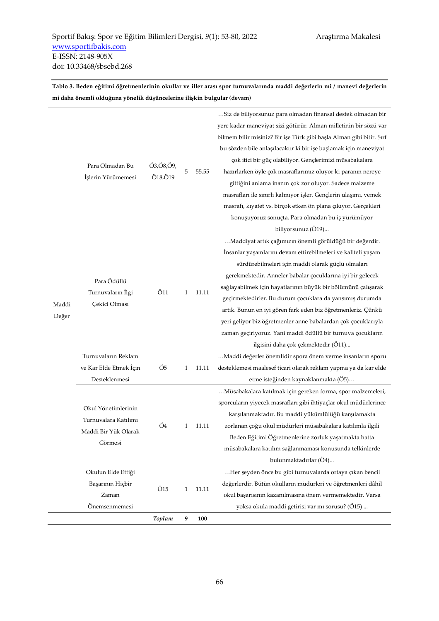**Tablo 3. Beden eğitimi öğretmenlerinin okullar ve iller arası spor turnuvalarında maddi değerlerin mi / manevi değerlerin mi daha önemli olduğuna yönelik düşüncelerine ilişkin bulgular (devam)** 

|       |                                                   | Toplam                 | 9            | 100   |                                                                                                                                                                             |
|-------|---------------------------------------------------|------------------------|--------------|-------|-----------------------------------------------------------------------------------------------------------------------------------------------------------------------------|
|       | Başarının Hiçbir<br>Zaman<br>Önemsenmemesi        | $\ddot{\mathrm{O}}$ 15 | $\mathbf{1}$ | 11.11 | değerlerdir. Bütün okulların müdürleri ve öğretmenleri dâhil<br>okul başarısının kazanılmasına önem vermemektedir. Varsa<br>yoksa okula maddi getirisi var mi sorusu? (O15) |
|       | Okulun Elde Ettiği                                |                        |              |       | Her şeyden önce bu gibi turnuvalarda ortaya çıkan bencil                                                                                                                    |
|       |                                                   |                        |              |       | bulunmaktadırlar (Ö4)                                                                                                                                                       |
|       | Görmesi                                           |                        |              |       | müsabakalara katılım sağlanmaması konusunda telkinlerde                                                                                                                     |
|       | Maddi Bir Yük Olarak                              |                        |              |       | Beden Eğitimi Öğretmenlerine zorluk yaşatmakta hatta                                                                                                                        |
|       | Turnuvalara Katılımı                              | Ö4                     | 1            | 11.11 | zorlanan çoğu okul müdürleri müsabakalara katılımla ilgili                                                                                                                  |
|       | Okul Yönetimlerinin                               |                        |              |       | karşılanmaktadır. Bu maddi yükümlülüğü karşılamakta                                                                                                                         |
|       |                                                   |                        |              |       | Müsabakalara katılmak için gereken forma, spor malzemeleri,<br>sporcuların yiyecek masrafları gibi ihtiyaçlar okul müdürlerince                                             |
|       | Desteklenmesi                                     |                        |              |       | etme isteğinden kaynaklanmakta (Ö5)                                                                                                                                         |
|       | ve Kar Elde Etmek İçin                            | Ö5                     | 1            | 11.11 | desteklemesi maalesef ticari olarak reklam yapma ya da kar elde                                                                                                             |
|       | Turnuvaların Reklam                               |                        |              |       | Maddi değerler önemlidir spora önem verme insanların sporu                                                                                                                  |
|       |                                                   |                        | 1            |       | ilgisini daha çok çekmektedir (Ö11)                                                                                                                                         |
|       | Para Ödüllü<br>Turnuvaların İlgi<br>Çekici Olması |                        |              |       | zaman geçiriyoruz. Yani maddi ödüllü bir turnuva çocukların                                                                                                                 |
|       |                                                   |                        |              |       | yeri geliyor biz öğretmenler anne babalardan çok çocuklarıyla                                                                                                               |
| Değer |                                                   |                        |              |       | artık. Bunun en iyi gören fark eden biz öğretmenleriz. Çünkü                                                                                                                |
| Maddi |                                                   |                        |              |       | geçirmektedirler. Bu durum çocuklara da yansımış durumda                                                                                                                    |
|       |                                                   | Ö11                    |              | 11.11 | sağlayabilmek için hayatlarının büyük bir bölümünü çalışarak                                                                                                                |
|       |                                                   |                        |              |       | gerekmektedir. Anneler babalar çocuklarına iyi bir gelecek                                                                                                                  |
|       |                                                   |                        |              |       | sürdürebilmeleri için maddi olarak güçlü olmaları                                                                                                                           |
|       |                                                   |                        |              |       | İnsanlar yaşamlarını devam ettirebilmeleri ve kaliteli yaşam                                                                                                                |
|       |                                                   |                        |              |       | Maddiyat artık çağımızın önemli görüldüğü bir değerdir.                                                                                                                     |
|       |                                                   |                        |              |       | biliyorsunuz (Ö19)                                                                                                                                                          |
|       |                                                   |                        |              |       | konuşuyoruz sonuçta. Para olmadan bu iş yürümüyor                                                                                                                           |
|       |                                                   |                        |              |       | masrafı, kıyafet vs. birçok etken ön plana çıkıyor. Gerçekleri                                                                                                              |
|       |                                                   |                        |              |       | masrafları ile sınırlı kalmıyor işler. Gençlerin ulaşımı, yemek                                                                                                             |
|       |                                                   |                        |              |       | gittiğini anlama inanın çok zor oluyor. Sadece malzeme                                                                                                                      |
|       | İşlerin Yürümemesi                                | Ö18,Ö19                | 5            | 55.55 | hazırlarken öyle çok masraflarımız oluyor ki paranın nereye                                                                                                                 |
|       | Para Olmadan Bu                                   | Ö3,Ö8,Ö9,              |              |       | çok itici bir güç olabiliyor. Gençlerimizi müsabakalara                                                                                                                     |
|       |                                                   |                        |              |       | bu sözden bile anlaşılacaktır ki bir işe başlamak için maneviyat                                                                                                            |
|       |                                                   |                        |              |       | bilmem bilir misiniz? Bir işe Türk gibi başla Alman gibi bitir. Sırf                                                                                                        |
|       |                                                   |                        |              |       | yere kadar maneviyat sizi götürür. Alman milletinin bir sözü var                                                                                                            |
|       |                                                   |                        |              |       | Siz de biliyorsunuz para olmadan finansal destek olmadan bir                                                                                                                |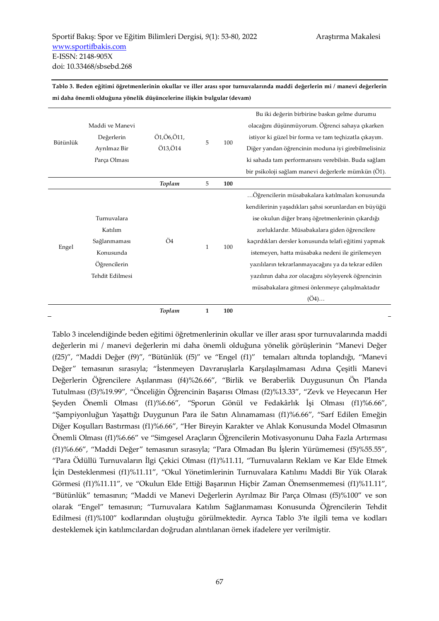| Bütünlük | Maddi ve Manevi<br>Değerlerin<br>Ayrılmaz Bir<br>Parça Olması                          | Ö1,Ö6,Ö11,<br>Ö13,Ö14 | 5 | 100 | Bu iki değerin birbirine baskın gelme durumu<br>olacağını düşünmüyorum. Öğrenci sahaya çıkarken<br>istiyor ki güzel bir forma ve tam teçhizatla çıkayım.<br>Diğer yandan öğrencinin moduna iyi girebilmelisiniz<br>ki sahada tam performansını verebilsin. Buda sağlam<br>bir psikoloji sağlam manevi değerlerle mümkün (Ö1).                                                                                                                                                                    |
|----------|----------------------------------------------------------------------------------------|-----------------------|---|-----|--------------------------------------------------------------------------------------------------------------------------------------------------------------------------------------------------------------------------------------------------------------------------------------------------------------------------------------------------------------------------------------------------------------------------------------------------------------------------------------------------|
|          |                                                                                        | Toplam                | 5 | 100 |                                                                                                                                                                                                                                                                                                                                                                                                                                                                                                  |
| Engel    | Turnuvalara<br>Katılım<br>Sağlanmaması<br>Konusunda<br>Öğrencilerin<br>Tehdit Edilmesi | Ö4                    | 1 | 100 | Öğrencilerin müsabakalara katılmaları konusunda<br>kendilerinin yaşadıkları şahsi sorunlardan en büyüğü<br>ise okulun diğer branş öğretmenlerinin çıkardığı<br>zorluklardır. Müsabakalara giden öğrencilere<br>kaçırdıkları dersler konusunda telafi eğitimi yapmak<br>istemeyen, hatta müsabaka nedeni ile girilemeyen<br>yazılıların tekrarlanmayacağını ya da tekrar edilen<br>yazılının daha zor olacağını söyleyerek öğrencinin<br>müsabakalara gitmesi önlenmeye çalışılmaktadır<br>$(O4)$ |

**Tablo 3. Beden eğitimi öğretmenlerinin okullar ve iller arası spor turnuvalarında maddi değerlerin mi / manevi değerlerin mi daha önemli olduğuna yönelik düşüncelerine ilişkin bulgular (devam)** 

*Toplam* **1 100** 

Tablo 3 incelendiğinde beden eğitimi öğretmenlerinin okullar ve iller arası spor turnuvalarında maddi değerlerin mi / manevi değerlerin mi daha önemli olduğuna yönelik görüşlerinin "Manevi Değer (f25)", "Maddi Değer (f9)", "Bütünlük (f5)" ve "Engel (f1)" temaları altında toplandığı, "Manevi Değer" temasının sırasıyla; "İstenmeyen Davranışlarla Karşılaşılmaması Adına Çeşitli Manevi Değerlerin Öğrencilere Aşılanması (f4)%26.66", "Birlik ve Beraberlik Duygusunun Ön Planda Tutulması (f3)%19.99", "Önceliğin Öğrencinin Başarısı Olması (f2)%13.33", "Zevk ve Heyecanın Her Şeyden Önemli Olması (f1)%6.66", "Sporun Gönül ve Fedakârlık İşi Olması (f1)%6.66", "Şampiyonluğun Yaşattığı Duygunun Para ile Satın Alınamaması (f1)%6.66", "Sarf Edilen Emeğin Diğer Koşulları Bastırması (f1)%6.66", "Her Bireyin Karakter ve Ahlak Konusunda Model Olmasının Önemli Olması (f1)%6.66" ve "Simgesel Araçların Öğrencilerin Motivasyonunu Daha Fazla Artırması (f1)%6.66", "Maddi Değer" temasının sırasıyla; "Para Olmadan Bu İşlerin Yürümemesi (f5)%55.55", "Para Ödüllü Turnuvaların İlgi Çekici Olması (f1)%11.11, "Turnuvaların Reklam ve Kar Elde Etmek İçin Desteklenmesi (f1)%11.11", "Okul Yönetimlerinin Turnuvalara Katılımı Maddi Bir Yük Olarak Görmesi (f1)%11.11", ve "Okulun Elde Ettiği Başarının Hiçbir Zaman Önemsenmemesi (f1)%11.11", "Bütünlük" temasının; "Maddi ve Manevi Değerlerin Ayrılmaz Bir Parça Olması (f5)%100" ve son olarak "Engel" temasının; "Turnuvalara Katılım Sağlanmaması Konusunda Öğrencilerin Tehdit Edilmesi (f1)%100" kodlarından oluştuğu görülmektedir. Ayrıca Tablo 3'te ilgili tema ve kodları desteklemek için katılımcılardan doğrudan alıntılanan örnek ifadelere yer verilmiştir.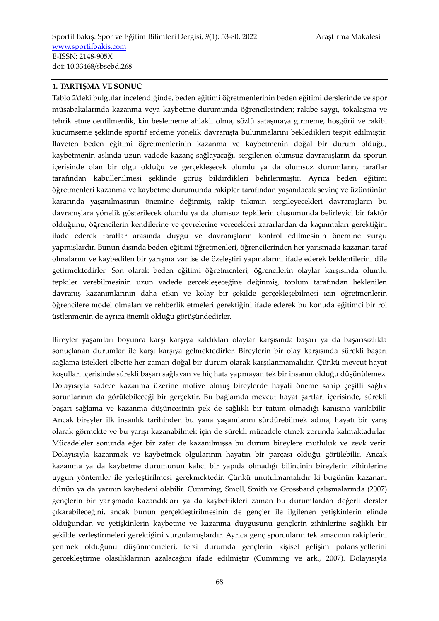#### **4. TARTIŞMA VE SONUÇ**

Tablo 2'deki bulgular incelendiğinde, beden eğitimi öğretmenlerinin beden eğitimi derslerinde ve spor müsabakalarında kazanma veya kaybetme durumunda öğrencilerinden; rakibe saygı, tokalaşma ve tebrik etme centilmenlik, kin beslememe ahlaklı olma, sözlü sataşmaya girmeme, hoşgörü ve rakibi küçümseme şeklinde sportif erdeme yönelik davranışta bulunmalarını bekledikleri tespit edilmiştir. İlaveten beden eğitimi öğretmenlerinin kazanma ve kaybetmenin doğal bir durum olduğu, kaybetmenin aslında uzun vadede kazanç sağlayacağı, sergilenen olumsuz davranışların da sporun içerisinde olan bir olgu olduğu ve gerçekleşecek olumlu ya da olumsuz durumların, taraflar tarafından kabullenilmesi şeklinde görüş bildirdikleri belirlenmiştir. Ayrıca beden eğitimi öğretmenleri kazanma ve kaybetme durumunda rakipler tarafından yaşanılacak sevinç ve üzüntünün kararında yaşanılmasının önemine değinmiş, rakip takımın sergileyecekleri davranışların bu davranışlara yönelik gösterilecek olumlu ya da olumsuz tepkilerin oluşumunda belirleyici bir faktör olduğunu, öğrencilerin kendilerine ve çevrelerine verecekleri zararlardan da kaçınmaları gerektiğini ifade ederek taraflar arasında duygu ve davranışların kontrol edilmesinin önemine vurgu yapmışlardır. Bunun dışında beden eğitimi öğretmenleri, öğrencilerinden her yarışmada kazanan taraf olmalarını ve kaybedilen bir yarışma var ise de özeleştiri yapmalarını ifade ederek beklentilerini dile getirmektedirler. Son olarak beden eğitimi öğretmenleri, öğrencilerin olaylar karşısında olumlu tepkiler verebilmesinin uzun vadede gerçekleşeceğine değinmiş, toplum tarafından beklenilen davranış kazanımlarının daha etkin ve kolay bir şekilde gerçekleşebilmesi için öğretmenlerin öğrencilere model olmaları ve rehberlik etmeleri gerektiğini ifade ederek bu konuda eğitimci bir rol üstlenmenin de ayrıca önemli olduğu görüşündedirler.

Bireyler yaşamları boyunca karşı karşıya kaldıkları olaylar karşısında başarı ya da başarısızlıkla sonuçlanan durumlar ile karşı karşıya gelmektedirler. Bireylerin bir olay karşısında sürekli başarı sağlama istekleri elbette her zaman doğal bir durum olarak karşılanmamalıdır. Çünkü mevcut hayat koşulları içerisinde sürekli başarı sağlayan ve hiç hata yapmayan tek bir insanın olduğu düşünülemez. Dolayısıyla sadece kazanma üzerine motive olmuş bireylerde hayati öneme sahip çeşitli sağlık sorunlarının da görülebileceği bir gerçektir. Bu bağlamda mevcut hayat şartları içerisinde, sürekli başarı sağlama ve kazanma düşüncesinin pek de sağlıklı bir tutum olmadığı kanısına varılabilir. Ancak bireyler ilk insanlık tarihinden bu yana yaşamlarını sürdürebilmek adına, hayatı bir yarış olarak görmekte ve bu yarışı kazanabilmek için de sürekli mücadele etmek zorunda kalmaktadırlar. Mücadeleler sonunda eğer bir zafer de kazanılmışsa bu durum bireylere mutluluk ve zevk verir. Dolayısıyla kazanmak ve kaybetmek olgularının hayatın bir parçası olduğu görülebilir. Ancak kazanma ya da kaybetme durumunun kalıcı bir yapıda olmadığı bilincinin bireylerin zihinlerine uygun yöntemler ile yerleştirilmesi gerekmektedir. Çünkü unutulmamalıdır ki bugünün kazananı dünün ya da yarının kaybedeni olabilir. Cumming, Smoll, Smith ve Grossbard çalışmalarında (2007) gençlerin bir yarışmada kazandıkları ya da kaybettikleri zaman bu durumlardan değerli dersler çıkarabileceğini, ancak bunun gerçekleştirilmesinin de gençler ile ilgilenen yetişkinlerin elinde olduğundan ve yetişkinlerin kaybetme ve kazanma duygusunu gençlerin zihinlerine sağlıklı bir şekilde yerleştirmeleri gerektiğini vurgulamışlardır. Ayrıca genç sporcuların tek amacının rakiplerini yenmek olduğunu düşünmemeleri, tersi durumda gençlerin kişisel gelişim potansiyellerini gerçekleştirme olasılıklarının azalacağını ifade edilmiştir (Cumming ve ark., 2007). Dolayısıyla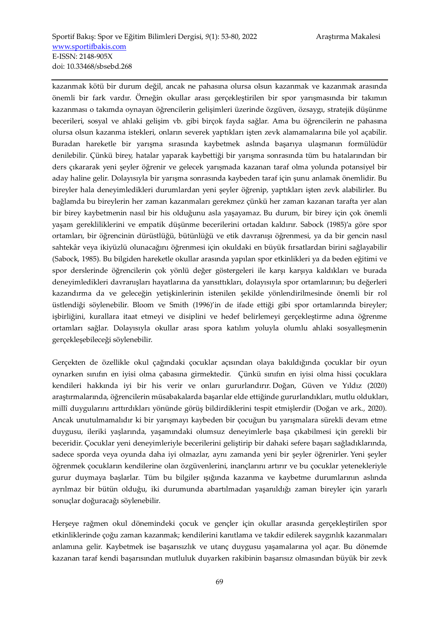kazanmak kötü bir durum değil, ancak ne pahasına olursa olsun kazanmak ve kazanmak arasında önemli bir fark vardır. Örneğin okullar arası gerçekleştirilen bir spor yarışmasında bir takımın kazanması o takımda oynayan öğrencilerin gelişimleri üzerinde özgüven, özsaygı, stratejik düşünme becerileri, sosyal ve ahlaki gelişim vb. gibi birçok fayda sağlar. Ama bu öğrencilerin ne pahasına olursa olsun kazanma istekleri, onların severek yaptıkları işten zevk alamamalarına bile yol açabilir. Buradan hareketle bir yarışma sırasında kaybetmek aslında başarıya ulaşmanın formülüdür denilebilir. Çünkü birey, hatalar yaparak kaybettiği bir yarışma sonrasında tüm bu hatalarından bir ders çıkararak yeni şeyler öğrenir ve gelecek yarışmada kazanan taraf olma yolunda potansiyel bir aday haline gelir. Dolayısıyla bir yarışma sonrasında kaybeden taraf için şunu anlamak önemlidir. Bu bireyler hala deneyimledikleri durumlardan yeni şeyler öğrenip, yaptıkları işten zevk alabilirler. Bu bağlamda bu bireylerin her zaman kazanmaları gerekmez çünkü her zaman kazanan tarafta yer alan bir birey kaybetmenin nasıl bir his olduğunu asla yaşayamaz. Bu durum, bir birey için çok önemli yaşam gerekliliklerini ve empatik düşünme becerilerini ortadan kaldırır. Sabock (1985)'a göre spor ortamları, bir öğrencinin dürüstlüğü, bütünlüğü ve etik davranışı öğrenmesi, ya da bir gencin nasıl sahtekâr veya ikiyüzlü olunacağını öğrenmesi için okuldaki en büyük fırsatlardan birini sağlayabilir (Sabock, 1985). Bu bilgiden hareketle okullar arasında yapılan spor etkinlikleri ya da beden eğitimi ve spor derslerinde öğrencilerin çok yönlü değer göstergeleri ile karşı karşıya kaldıkları ve burada deneyimledikleri davranışları hayatlarına da yansıttıkları, dolayısıyla spor ortamlarının; bu değerleri kazandırma da ve geleceğin yetişkinlerinin istenilen şekilde yönlendirilmesinde önemli bir rol üstlendiği söylenebilir. Bloom ve Smith (1996)'in de ifade ettiği gibi spor ortamlarında bireyler; işbirliğini, kurallara itaat etmeyi ve disiplini ve hedef belirlemeyi gerçekleştirme adına öğrenme ortamları sağlar. Dolayısıyla okullar arası spora katılım yoluyla olumlu ahlaki sosyalleşmenin gerçekleşebileceği söylenebilir.

Gerçekten de özellikle okul çağındaki çocuklar açısından olaya bakıldığında çocuklar bir oyun oynarken sınıfın en iyisi olma çabasına girmektedir. Çünkü sınıfın en iyisi olma hissi çocuklara kendileri hakkında iyi bir his verir ve onları gururlandırır. Doğan, Güven ve Yıldız (2020) araştırmalarında, öğrencilerin müsabakalarda başarılar elde ettiğinde gururlandıkları, mutlu oldukları, millî duygularını arttırdıkları yönünde görüş bildirdiklerini tespit etmişlerdir (Doğan ve ark., 2020). Ancak unutulmamalıdır ki bir yarışmayı kaybeden bir çocuğun bu yarışmalara sürekli devam etme duygusu, ileriki yaşlarında, yaşamındaki olumsuz deneyimlerle başa çıkabilmesi için gerekli bir beceridir. Çocuklar yeni deneyimleriyle becerilerini geliştirip bir dahaki sefere başarı sağladıklarında, sadece sporda veya oyunda daha iyi olmazlar, aynı zamanda yeni bir şeyler öğrenirler. Yeni şeyler öğrenmek çocukların kendilerine olan özgüvenlerini, inançlarını artırır ve bu çocuklar yetenekleriyle gurur duymaya başlarlar. Tüm bu bilgiler ışığında kazanma ve kaybetme durumlarının aslında ayrılmaz bir bütün olduğu, iki durumunda abartılmadan yaşanıldığı zaman bireyler için yararlı sonuçlar doğuracağı söylenebilir.

Herşeye rağmen okul dönemindeki çocuk ve gençler için okullar arasında gerçekleştirilen spor etkinliklerinde çoğu zaman kazanmak; kendilerini kanıtlama ve takdir edilerek saygınlık kazanmaları anlamına gelir. Kaybetmek ise başarısızlık ve utanç duygusu yaşamalarına yol açar. Bu dönemde kazanan taraf kendi başarısından mutluluk duyarken rakibinin başarısız olmasından büyük bir zevk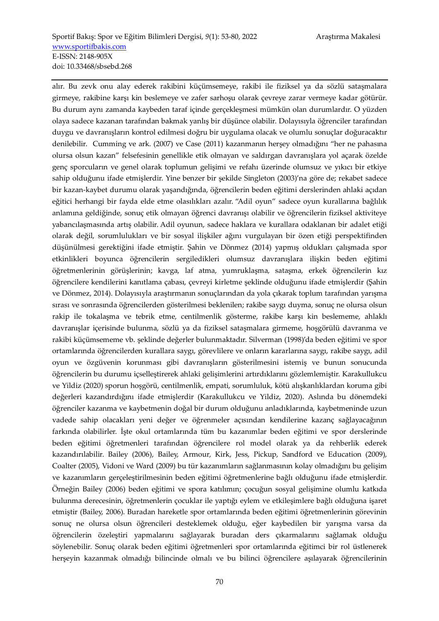alır. Bu zevk onu alay ederek rakibini küçümsemeye, rakibi ile fiziksel ya da sözlü sataşmalara girmeye, rakibine karşı kin beslemeye ve zafer sarhoşu olarak çevreye zarar vermeye kadar götürür. Bu durum aynı zamanda kaybeden taraf içinde gerçekleşmesi mümkün olan durumlardır. O yüzden olaya sadece kazanan tarafından bakmak yanlış bir düşünce olabilir. Dolayısıyla öğrenciler tarafından duygu ve davranışların kontrol edilmesi doğru bir uygulama olacak ve olumlu sonuçlar doğuracaktır denilebilir. Cumming ve ark. (2007) ve Case (2011) kazanmanın herşey olmadığını "her ne pahasına olursa olsun kazan" felsefesinin genellikle etik olmayan ve saldırgan davranışlara yol açarak özelde genç sporcuların ve genel olarak toplumun gelişimi ve refahı üzerinde olumsuz ve yıkıcı bir etkiye sahip olduğunu ifade etmişlerdir. Yine benzer bir şekilde Singleton (2003)'na göre de; rekabet sadece bir kazan-kaybet durumu olarak yaşandığında, öğrencilerin beden eğitimi derslerinden ahlaki açıdan eğitici herhangi bir fayda elde etme olasılıkları azalır. "Adil oyun" sadece oyun kurallarına bağlılık anlamına geldiğinde, sonuç etik olmayan öğrenci davranışı olabilir ve öğrencilerin fiziksel aktiviteye yabancılaşmasında artış olabilir. Adil oyunun, sadece haklara ve kurallara odaklanan bir adalet etiği olarak değil, sorumlulukları ve bir sosyal ilişkiler ağını vurgulayan bir özen etiği perspektifinden düşünülmesi gerektiğini ifade etmiştir. Şahin ve Dönmez (2014) yapmış oldukları çalışmada spor etkinlikleri boyunca öğrencilerin sergiledikleri olumsuz davranışlara ilişkin beden eğitimi öğretmenlerinin görüşlerinin; kavga, laf atma, yumruklaşma, sataşma, erkek öğrencilerin kız öğrencilere kendilerini kanıtlama çabası, çevreyi kirletme şeklinde olduğunu ifade etmişlerdir (Şahin ve Dönmez, 2014). Dolayısıyla araştırmanın sonuçlarından da yola çıkarak toplum tarafından yarışma sırası ve sonrasında öğrencilerden gösterilmesi beklenilen; rakibe saygı duyma, sonuç ne olursa olsun rakip ile tokalaşma ve tebrik etme, centilmenlik gösterme, rakibe karşı kin beslememe, ahlaklı davranışlar içerisinde bulunma, sözlü ya da fiziksel sataşmalara girmeme, hoşgörülü davranma ve rakibi küçümsememe vb. şeklinde değerler bulunmaktadır. Silverman (1998)'da beden eğitimi ve spor ortamlarında öğrencilerden kurallara saygı, görevlilere ve onların kararlarına saygı, rakibe saygı, adil oyun ve özgüvenin korunması gibi davranışların gösterilmesini istemiş ve bunun sonucunda öğrencilerin bu durumu içselleştirerek ahlaki gelişimlerini artırdıklarını gözlemlemiştir. Karakullukcu ve Yildiz (2020) sporun hoşgörü, centilmenlik, empati, sorumluluk, kötü alışkanlıklardan koruma gibi değerleri kazandırdığını ifade etmişlerdir (Karakullukcu ve Yildiz, 2020). Aslında bu dönemdeki öğrenciler kazanma ve kaybetmenin doğal bir durum olduğunu anladıklarında, kaybetmeninde uzun vadede sahip olacakları yeni değer ve öğrenmeler açısından kendilerine kazanç sağlayacağının farkında olabilirler. İşte okul ortamlarında tüm bu kazanımlar beden eğitimi ve spor derslerinde beden eğitimi öğretmenleri tarafından öğrencilere rol model olarak ya da rehberlik ederek kazandırılabilir. Bailey (2006), Bailey, Armour, Kirk, Jess, Pickup, Sandford ve Education (2009), Coalter (2005), Vidoni ve Ward (2009) bu tür kazanımların sağlanmasının kolay olmadığını bu gelişim ve kazanımların gerçeleştirilmesinin beden eğitimi öğretmenlerine bağlı olduğunu ifade etmişlerdir. Örneğin Bailey (2006) beden eğitimi ve spora katılımın; çocuğun sosyal gelişimine olumlu katkıda bulunma derecesinin, öğretmenlerin çocuklar ile yaptığı eylem ve etkileşimlere bağlı olduğuna işaret etmiştir (Bailey, 2006). Buradan hareketle spor ortamlarında beden eğitimi öğretmenlerinin görevinin sonuç ne olursa olsun öğrencileri desteklemek olduğu, eğer kaybedilen bir yarışma varsa da öğrencilerin özeleştiri yapmalarını sağlayarak buradan ders çıkarmalarını sağlamak olduğu söylenebilir. Sonuç olarak beden eğitimi öğretmenleri spor ortamlarında eğitimci bir rol üstlenerek herşeyin kazanmak olmadığı bilincinde olmalı ve bu bilinci öğrencilere aşılayarak öğrencilerinin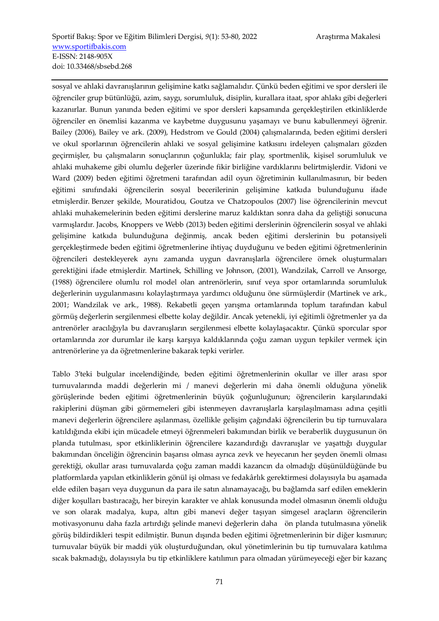sosyal ve ahlaki davranışlarının gelişimine katkı sağlamalıdır. Çünkü beden eğitimi ve spor dersleri ile öğrenciler grup bütünlüğü, azim, saygı, sorumluluk, disiplin, kurallara itaat, spor ahlakı gibi değerleri kazanırlar. Bunun yanında beden eğitimi ve spor dersleri kapsamında gerçekleştirilen etkinliklerde öğrenciler en önemlisi kazanma ve kaybetme duygusunu yaşamayı ve bunu kabullenmeyi öğrenir. Bailey (2006), Bailey ve ark. (2009), Hedstrom ve Gould (2004) çalışmalarında, beden eğitimi dersleri ve okul sporlarının öğrencilerin ahlaki ve sosyal gelişimine katkısını irdeleyen çalışmaları gözden geçirmişler, bu çalışmaların sonuçlarının çoğunlukla; fair play, sportmenlik, kişisel sorumluluk ve ahlaki muhakeme gibi olumlu değerler üzerinde fikir birliğine vardıklarını belirtmişlerdir. Vidoni ve Ward (2009) beden eğitimi öğretmeni tarafından adil oyun öğretiminin kullanılmasının, bir beden eğitimi sınıfındaki öğrencilerin sosyal becerilerinin gelişimine katkıda bulunduğunu ifade etmişlerdir. Benzer şekilde, Mouratidou, Goutza ve Chatzopoulos (2007) lise öğrencilerinin mevcut ahlaki muhakemelerinin beden eğitimi derslerine maruz kaldıktan sonra daha da geliştiği sonucuna varmışlardır. Jacobs, Knoppers ve Webb (2013) beden eğitimi derslerinin öğrencilerin sosyal ve ahlaki gelişimine katkıda bulunduğuna değinmiş, ancak beden eğitimi derslerinin bu potansiyeli gerçekleştirmede beden eğitimi öğretmenlerine ihtiyaç duyduğunu ve beden eğitimi öğretmenlerinin öğrencileri destekleyerek aynı zamanda uygun davranışlarla öğrencilere örnek oluşturmaları gerektiğini ifade etmişlerdir. Martinek, Schilling ve Johnson, (2001), Wandzilak, Carroll ve Ansorge, (1988) öğrencilere olumlu rol model olan antrenörlerin, sınıf veya spor ortamlarında sorumluluk değerlerinin uygulanmasını kolaylaştırmaya yardımcı olduğunu öne sürmüşlerdir (Martinek ve ark., 2001; Wandzilak ve ark., 1988). Rekabetli geçen yarışma ortamlarında toplum tarafından kabul görmüş değerlerin sergilenmesi elbette kolay değildir. Ancak yetenekli, iyi eğitimli öğretmenler ya da antrenörler aracılığıyla bu davranışların sergilenmesi elbette kolaylaşacaktır. Çünkü sporcular spor ortamlarında zor durumlar ile karşı karşıya kaldıklarında çoğu zaman uygun tepkiler vermek için antrenörlerine ya da öğretmenlerine bakarak tepki verirler.

Tablo 3'teki bulgular incelendiğinde, beden eğitimi öğretmenlerinin okullar ve iller arası spor turnuvalarında maddi değerlerin mi / manevi değerlerin mi daha önemli olduğuna yönelik görüşlerinde beden eğitimi öğretmenlerinin büyük çoğunluğunun; öğrencilerin karşılarındaki rakiplerini düşman gibi görmemeleri gibi istenmeyen davranışlarla karşılaşılmaması adına çeşitli manevi değerlerin öğrencilere aşılanması, özellikle gelişim çağındaki öğrencilerin bu tip turnuvalara katıldığında ekibi için mücadele etmeyi öğrenmeleri bakımından birlik ve beraberlik duygusunun ön planda tutulması, spor etkinliklerinin öğrencilere kazandırdığı davranışlar ve yaşattığı duygular bakımından önceliğin öğrencinin başarısı olması ayrıca zevk ve heyecanın her şeyden önemli olması gerektiği, okullar arası turnuvalarda çoğu zaman maddi kazancın da olmadığı düşünüldüğünde bu platformlarda yapılan etkinliklerin gönül işi olması ve fedakârlık gerektirmesi dolayısıyla bu aşamada elde edilen başarı veya duygunun da para ile satın alınamayacağı, bu bağlamda sarf edilen emeklerin diğer koşulları bastıracağı, her bireyin karakter ve ahlak konusunda model olmasının önemli olduğu ve son olarak madalya, kupa, altın gibi manevi değer taşıyan simgesel araçların öğrencilerin motivasyonunu daha fazla artırdığı şelinde manevi değerlerin daha ön planda tutulmasına yönelik görüş bildirdikleri tespit edilmiştir. Bunun dışında beden eğitimi öğretmenlerinin bir diğer kısmının; turnuvalar büyük bir maddi yük oluşturduğundan, okul yönetimlerinin bu tip turnuvalara katılıma sıcak bakmadığı, dolayısıyla bu tip etkinliklere katılımın para olmadan yürümeyeceği eğer bir kazanç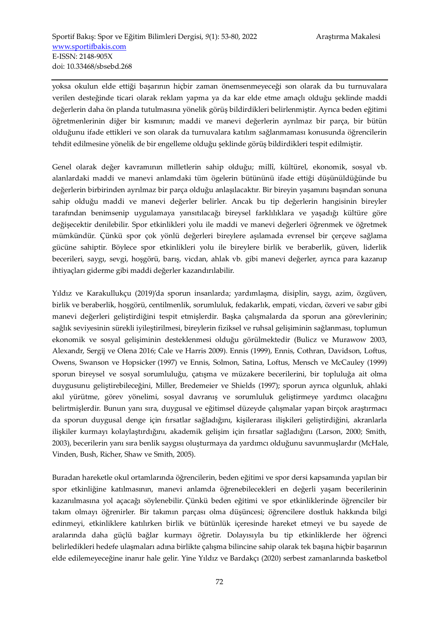yoksa okulun elde ettiği başarının hiçbir zaman önemsenmeyeceği son olarak da bu turnuvalara verilen desteğinde ticari olarak reklam yapma ya da kar elde etme amaçlı olduğu şeklinde maddi değerlerin daha ön planda tutulmasına yönelik görüş bildirdikleri belirlenmiştir. Ayrıca beden eğitimi öğretmenlerinin diğer bir kısmının; maddi ve manevi değerlerin ayrılmaz bir parça, bir bütün olduğunu ifade ettikleri ve son olarak da turnuvalara katılım sağlanmaması konusunda öğrencilerin tehdit edilmesine yönelik de bir engelleme olduğu şeklinde görüş bildirdikleri tespit edilmiştir.

Genel olarak değer kavramının milletlerin sahip olduğu; millî, kültürel, ekonomik, sosyal vb. alanlardaki maddi ve manevi anlamdaki tüm ögelerin bütününü ifade ettiği düşünüldüğünde bu değerlerin birbirinden ayrılmaz bir parça olduğu anlaşılacaktır. Bir bireyin yaşamını başından sonuna sahip olduğu maddi ve manevi değerler belirler. Ancak bu tip değerlerin hangisinin bireyler tarafından benimsenip uygulamaya yansıtılacağı bireysel farklılıklara ve yaşadığı kültüre göre değişecektir denilebilir. Spor etkinlikleri yolu ile maddi ve manevi değerleri öğrenmek ve öğretmek mümkündür. Çünkü spor çok yönlü değerleri bireylere aşılamada evrensel bir çerçeve sağlama gücüne sahiptir. Böylece spor etkinlikleri yolu ile bireylere birlik ve beraberlik, güven, liderlik becerileri, saygı, sevgi, hoşgörü, barış, vicdan, ahlak vb. gibi manevi değerler, ayrıca para kazanıp ihtiyaçları giderme gibi maddi değerler kazandırılabilir.

Yıldız ve Karakullukçu (2019)'da sporun insanlarda; yardımlaşma, disiplin, saygı, azim, özgüven, birlik ve beraberlik, hoşgörü, centilmenlik, sorumluluk, fedakarlık, empati, vicdan, özveri ve sabır gibi manevi değerleri geliştirdiğini tespit etmişlerdir. Başka çalışmalarda da sporun ana görevlerinin; sağlık seviyesinin sürekli iyileştirilmesi, bireylerin fiziksel ve ruhsal gelişiminin sağlanması, toplumun ekonomik ve sosyal gelişiminin desteklenmesi olduğu görülmektedir (Bulicz ve Murawow 2003, Alexandr, Sergij ve Olena 2016; Cale ve Harris 2009). Ennis (1999), Ennis, Cothran, Davidson, Loftus, Owens, Swanson ve Hopsicker (1997) ve Ennis, Solmon, Satina, Loftus, Mensch ve McCauley (1999) sporun bireysel ve sosyal sorumluluğu, çatışma ve müzakere becerilerini, bir topluluğa ait olma duygusunu geliştirebileceğini, Miller, Bredemeier ve Shields (1997); sporun ayrıca olgunluk, ahlaki akıl yürütme, görev yönelimi, sosyal davranış ve sorumluluk geliştirmeye yardımcı olacağını belirtmişlerdir. Bunun yanı sıra, duygusal ve eğitimsel düzeyde çalışmalar yapan birçok araştırmacı da sporun duygusal denge için fırsatlar sağladığını, kişilerarası ilişkileri geliştirdiğini, akranlarla ilişkiler kurmayı kolaylaştırdığını, akademik gelişim için fırsatlar sağladığını (Larson, 2000; Smith, 2003), becerilerin yanı sıra benlik saygısı oluşturmaya da yardımcı olduğunu savunmuşlardır (McHale, Vinden, Bush, Richer, Shaw ve Smith, 2005).

Buradan hareketle okul ortamlarında öğrencilerin, beden eğitimi ve spor dersi kapsamında yapılan bir spor etkinliğine katılmasının, manevi anlamda öğrenebilecekleri en değerli yaşam becerilerinin kazanılmasına yol açacağı söylenebilir. Çünkü beden eğitimi ve spor etkinliklerinde öğrenciler bir takım olmayı öğrenirler. Bir takımın parçası olma düşüncesi; öğrencilere dostluk hakkında bilgi edinmeyi, etkinliklere katılırken birlik ve bütünlük içeresinde hareket etmeyi ve bu sayede de aralarında daha güçlü bağlar kurmayı öğretir. Dolayısıyla bu tip etkinliklerde her öğrenci belirledikleri hedefe ulaşmaları adına birlikte çalışma bilincine sahip olarak tek başına hiçbir başarının elde edilemeyeceğine inanır hale gelir. Yine Yıldız ve Bardakçı (2020) serbest zamanlarında basketbol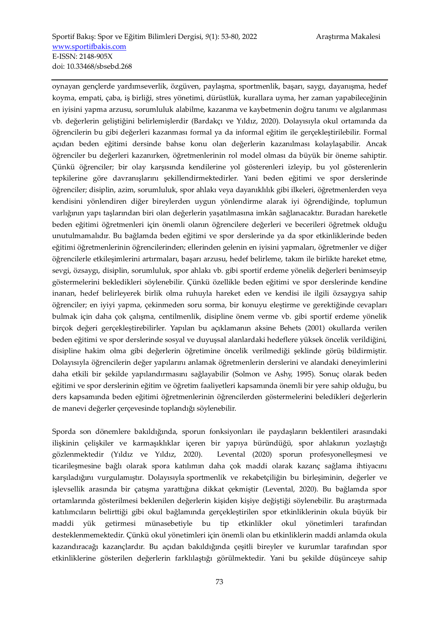oynayan gençlerde yardımseverlik, özgüven, paylaşma, sportmenlik, başarı, saygı, dayanışma, hedef koyma, empati, çaba, iş birliği, stres yönetimi, dürüstlük, kurallara uyma, her zaman yapabileceğinin en iyisini yapma arzusu, sorumluluk alabilme, kazanma ve kaybetmenin doğru tanımı ve algılanması vb. değerlerin geliştiğini belirlemişlerdir (Bardakçı ve Yıldız, 2020). Dolayısıyla okul ortamında da öğrencilerin bu gibi değerleri kazanması formal ya da informal eğitim ile gerçekleştirilebilir. Formal açıdan beden eğitimi dersinde bahse konu olan değerlerin kazanılması kolaylaşabilir. Ancak öğrenciler bu değerleri kazanırken, öğretmenlerinin rol model olması da büyük bir öneme sahiptir. Çünkü öğrenciler; bir olay karşısında kendilerine yol gösterenleri izleyip, bu yol gösterenlerin tepkilerine göre davranışlarını şekillendirmektedirler. Yani beden eğitimi ve spor derslerinde öğrenciler; disiplin, azim, sorumluluk, spor ahlakı veya dayanıklılık gibi ilkeleri, öğretmenlerden veya kendisini yönlendiren diğer bireylerden uygun yönlendirme alarak iyi öğrendiğinde, toplumun varlığının yapı taşlarından biri olan değerlerin yaşatılmasına imkân sağlanacaktır. Buradan hareketle beden eğitimi öğretmenleri için önemli olanın öğrencilere değerleri ve becerileri öğretmek olduğu unutulmamalıdır. Bu bağlamda beden eğitimi ve spor derslerinde ya da spor etkinliklerinde beden eğitimi öğretmenlerinin öğrencilerinden; ellerinden gelenin en iyisini yapmaları, öğretmenler ve diğer öğrencilerle etkileşimlerini artırmaları, başarı arzusu, hedef belirleme, takım ile birlikte hareket etme, sevgi, özsaygı, disiplin, sorumluluk, spor ahlakı vb. gibi sportif erdeme yönelik değerleri benimseyip göstermelerini bekledikleri söylenebilir. Çünkü özellikle beden eğitimi ve spor derslerinde kendine inanan, hedef belirleyerek birlik olma ruhuyla hareket eden ve kendisi ile ilgili özsaygıya sahip öğrenciler; en iyiyi yapma, çekinmeden soru sorma, bir konuyu eleştirme ve gerektiğinde cevapları bulmak için daha çok çalışma, centilmenlik, disipline önem verme vb. gibi sportif erdeme yönelik birçok değeri gerçekleştirebilirler. Yapılan bu açıklamanın aksine Behets (2001) okullarda verilen beden eğitimi ve spor derslerinde sosyal ve duyuşsal alanlardaki hedeflere yüksek öncelik verildiğini, disipline hakim olma gibi değerlerin öğretimine öncelik verilmediği şeklinde görüş bildirmiştir. Dolayısıyla öğrencilerin değer yapılarını anlamak öğretmenlerin derslerini ve alandaki deneyimlerini daha etkili bir şekilde yapılandırmasını sağlayabilir (Solmon ve Ashy, 1995). Sonuç olarak beden eğitimi ve spor derslerinin eğitim ve öğretim faaliyetleri kapsamında önemli bir yere sahip olduğu, bu ders kapsamında beden eğitimi öğretmenlerinin öğrencilerden göstermelerini beledikleri değerlerin de manevi değerler çerçevesinde toplandığı söylenebilir.

Sporda son dönemlere bakıldığında, sporun fonksiyonları ile paydaşların beklentileri arasındaki ilişkinin çelişkiler ve karmaşıklıklar içeren bir yapıya büründüğü, spor ahlakının yozlaştığı gözlenmektedir (Yıldız ve Yıldız, 2020). Levental (2020) sporun profesyonelleşmesi ve ticarileşmesine bağlı olarak spora katılımın daha çok maddi olarak kazanç sağlama ihtiyacını karşıladığını vurgulamıştır. Dolayısıyla sportmenlik ve rekabetçiliğin bu birleşiminin, değerler ve işlevsellik arasında bir çatışma yarattığına dikkat çekmiştir (Levental, 2020). Bu bağlamda spor ortamlarında gösterilmesi beklenilen değerlerin kişiden kişiye değiştiği söylenebilir. Bu araştırmada katılımcıların belirttiği gibi okul bağlamında gerçekleştirilen spor etkinliklerinin okula büyük bir maddi yük getirmesi münasebetiyle bu tip etkinlikler okul yönetimleri tarafından desteklenmemektedir. Çünkü okul yönetimleri için önemli olan bu etkinliklerin maddi anlamda okula kazandıracağı kazançlardır. Bu açıdan bakıldığında çeşitli bireyler ve kurumlar tarafından spor etkinliklerine gösterilen değerlerin farklılaştığı görülmektedir. Yani bu şekilde düşünceye sahip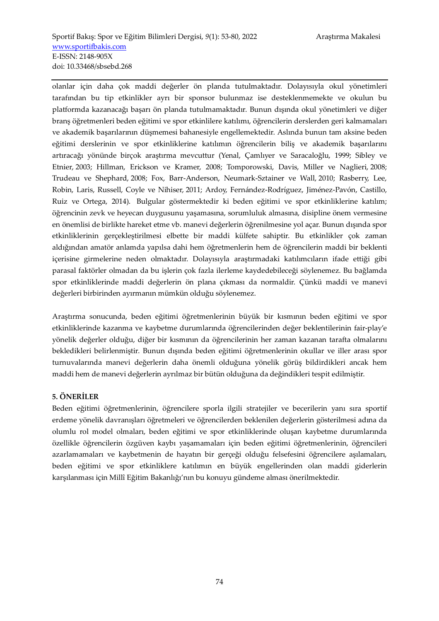olanlar için daha çok maddi değerler ön planda tutulmaktadır. Dolayısıyla okul yönetimleri tarafından bu tip etkinlikler ayrı bir sponsor bulunmaz ise desteklenmemekte ve okulun bu platformda kazanacağı başarı ön planda tutulmamaktadır. Bunun dışında okul yönetimleri ve diğer branş öğretmenleri beden eğitimi ve spor etkinlilere katılımı, öğrencilerin derslerden geri kalmamaları ve akademik başarılarının düşmemesi bahanesiyle engellemektedir. Aslında bunun tam aksine beden eğitimi derslerinin ve spor etkinliklerine katılımın öğrencilerin biliş ve akademik başarılarını artıracağı yönünde birçok araştırma mevcuttur (Yenal, Çamlıyer ve Saracaloğlu, 1999; Sibley ve Etnier, 2003; Hillman, Erickson ve Kramer, 2008; Tomporowski, Davis, Miller ve Naglieri, 2008; Trudeau ve Shephard, 2008; Fox, Barr-Anderson, Neumark-Sztainer ve Wall, 2010; Rasberry, Lee, Robin, Laris, Russell, Coyle ve Nihiser, 2011; Ardoy, Fernández-Rodríguez, Jiménez-Pavón, Castillo, Ruiz ve Ortega, 2014). Bulgular göstermektedir ki beden eğitimi ve spor etkinliklerine katılım; öğrencinin zevk ve heyecan duygusunu yaşamasına, sorumluluk almasına, disipline önem vermesine en önemlisi de birlikte hareket etme vb. manevi değerlerin öğrenilmesine yol açar. Bunun dışında spor etkinliklerinin gerçekleştirilmesi elbette bir maddi külfete sahiptir. Bu etkinlikler çok zaman aldığından amatör anlamda yapılsa dahi hem öğretmenlerin hem de öğrencilerin maddi bir beklenti içerisine girmelerine neden olmaktadır. Dolayısıyla araştırmadaki katılımcıların ifade ettiği gibi parasal faktörler olmadan da bu işlerin çok fazla ilerleme kaydedebileceği söylenemez. Bu bağlamda spor etkinliklerinde maddi değerlerin ön plana çıkması da normaldir. Çünkü maddi ve manevi değerleri birbirinden ayırmanın mümkün olduğu söylenemez.

Araştırma sonucunda, beden eğitimi öğretmenlerinin büyük bir kısmının beden eğitimi ve spor etkinliklerinde kazanma ve kaybetme durumlarında öğrencilerinden değer beklentilerinin fair-play'e yönelik değerler olduğu, diğer bir kısmının da öğrencilerinin her zaman kazanan tarafta olmalarını bekledikleri belirlenmiştir. Bunun dışında beden eğitimi öğretmenlerinin okullar ve iller arası spor turnuvalarında manevi değerlerin daha önemli olduğuna yönelik görüş bildirdikleri ancak hem maddi hem de manevi değerlerin ayrılmaz bir bütün olduğuna da değindikleri tespit edilmiştir.

# **5. ÖNERİLER**

Beden eğitimi öğretmenlerinin, öğrencilere sporla ilgili stratejiler ve becerilerin yanı sıra sportif erdeme yönelik davranışları öğretmeleri ve öğrencilerden beklenilen değerlerin gösterilmesi adına da olumlu rol model olmaları, beden eğitimi ve spor etkinliklerinde oluşan kaybetme durumlarında özellikle öğrencilerin özgüven kaybı yaşamamaları için beden eğitimi öğretmenlerinin, öğrencileri azarlamamaları ve kaybetmenin de hayatın bir gerçeği olduğu felsefesini öğrencilere aşılamaları, beden eğitimi ve spor etkinliklere katılımın en büyük engellerinden olan maddi giderlerin karşılanması için Millî Eğitim Bakanlığı'nın bu konuyu gündeme alması önerilmektedir.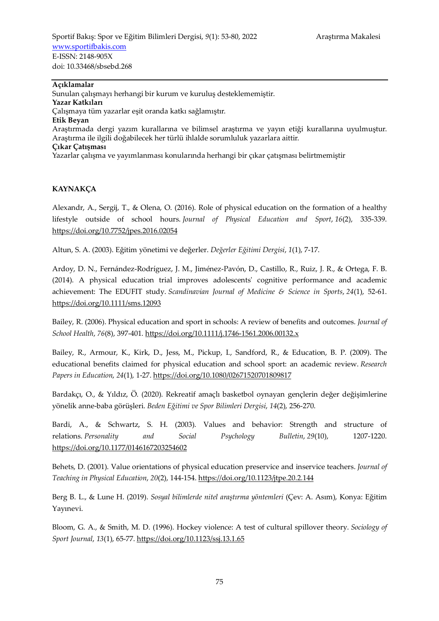Sportif Bakış: Spor ve Eğitim Bilimleri Dergisi, 9(1): 53-80, 2022 Araştırma Makalesi www.sportifbakis.com E-ISSN: 2148-905X doi: 10.33468/sbsebd.268

#### **Açıklamalar**

Sunulan çalışmayı herhangi bir kurum ve kuruluş desteklememiştir. **Yazar Katkıları**  Çalışmaya tüm yazarlar eşit oranda katkı sağlamıştır. **Etik Beyan**  Araştırmada dergi yazım kurallarına ve bilimsel araştırma ve yayın etiği kurallarına uyulmuştur. Araştırma ile ilgili doğabilecek her türlü ihlalde sorumluluk yazarlara aittir. **Çıkar Çatışması**  Yazarlar çalışma ve yayımlanması konularında herhangi bir çıkar çatışması belirtmemiştir

## **KAYNAKÇA**

Alexandr, A., Sergij, T., & Olena, O. (2016). Role of physical education on the formation of a healthy lifestyle outside of school hours. *Journal of Physical Education and Sport*, *16*(2), 335-339. https://doi.org/10.7752/jpes.2016.02054

Altun, S. A. (2003). Eğitim yönetimi ve değerler. *Değerler Eğitimi Dergisi*, *1*(1), 7-17.

Ardoy, D. N., Fernández-Rodríguez, J. M., Jiménez-Pavón, D., Castillo, R., Ruiz, J. R., & Ortega, F. B. (2014). A physical education trial improves adolescents' cognitive performance and academic achievement: The EDUFIT study. *Scandinavian Journal of Medicine & Science in Sports*, *24*(1), 52-61. https://doi.org/10.1111/sms.12093

Bailey, R. (2006). Physical education and sport in schools: A review of benefits and outcomes. *Journal of School Health*, *76*(8), 397-401. https://doi.org/10.1111/j.1746-1561.2006.00132.x

Bailey, R., Armour, K., Kirk, D., Jess, M., Pickup, I., Sandford, R., & Education, B. P. (2009). The educational benefits claimed for physical education and school sport: an academic review. *Research Papers in Education*, *24*(1), 1-27. https://doi.org/10.1080/02671520701809817

Bardakçı, O., & Yıldız, Ö. (2020). Rekreatif amaçlı basketbol oynayan gençlerin değer değişimlerine yönelik anne-baba görüşleri. *Beden Eğitimi ve Spor Bilimleri Dergisi*, *14*(2), 256-270.

Bardi, A., & Schwartz, S. H. (2003). Values and behavior: Strength and structure of relations. *Personality and Social Psychology Bulletin*, *29*(10), 1207-1220. https://doi.org/10.1177/0146167203254602

Behets, D. (2001). Value orientations of physical education preservice and inservice teachers. *Journal of Teaching in Physical Education*, *20*(2), 144-154. https://doi.org/10.1123/jtpe.20.2.144

Berg B. L., & Lune H. (2019). *Sosyal bilimlerde nitel araştırma yöntemleri* (Çev: A. Asım), Konya: Eğitim Yayınevi.

Bloom, G. A., & Smith, M. D. (1996). Hockey violence: A test of cultural spillover theory. *Sociology of Sport Journal*, *13*(1), 65-77. https://doi.org/10.1123/ssj.13.1.65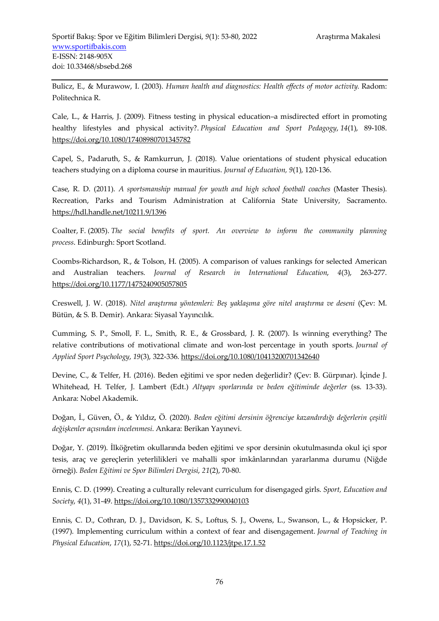Bulicz, E., & Murawow, I. (2003). *Human health and diagnostics: Health effects of motor activity.* Radom: Politechnica R.

Cale, L., & Harris, J. (2009). Fitness testing in physical education–a misdirected effort in promoting healthy lifestyles and physical activity?. *Physical Education and Sport Pedagogy*, *14*(1), 89-108. https://doi.org/10.1080/17408980701345782

Capel, S., Padaruth, S., & Ramkurrun, J. (2018). Value orientations of student physical education teachers studying on a diploma course in mauritius. *Journal of Education, 9*(1), 120-136.

Case, R. D. (2011). *A sportsmanship manual for youth and high school football coaches* (Master Thesis). Recreation, Parks and Tourism Administration at California State University, Sacramento. https://hdl.handle.net/10211.9/1396

Coalter, F. (2005). *The social benefits of sport. An overview to inform the community planning process*. Edinburgh: Sport Scotland.

Coombs-Richardson, R., & Tolson, H. (2005). A comparison of values rankings for selected American and Australian teachers. *Journal of Research in International Education*, *4*(3), 263-277. https://doi.org/10.1177/1475240905057805

Creswell, J. W. (2018). *Nitel araştırma yöntemleri: Beş yaklaşıma göre nitel araştırma ve deseni* (Çev: M. Bütün, & S. B. Demir). Ankara: Siyasal Yayıncılık.

Cumming, S. P., Smoll, F. L., Smith, R. E., & Grossbard, J. R. (2007). Is winning everything? The relative contributions of motivational climate and won-lost percentage in youth sports. *Journal of Applied Sport Psychology*, *19*(3), 322-336. https://doi.org/10.1080/10413200701342640

Devine, C., & Telfer, H. (2016). Beden eğitimi ve spor neden değerlidir? (Çev: B. Gürpınar). İçinde J. Whitehead, H. Telfer, J. Lambert (Edt.) *Altyapı sporlarında ve beden eğitiminde değerler* (ss. 13-33). Ankara: Nobel Akademik.

Doğan, İ., Güven, Ö., & Yıldız, Ö. (2020). *Beden eğitimi dersinin öğrenciye kazandırdığı değerlerin çeşitli değişkenler açısından incelenmesi*. Ankara: Berikan Yayınevi.

Doğar, Y. (2019). İlköğretim okullarında beden eğitimi ve spor dersinin okutulmasında okul içi spor tesis, araç ve gereçlerin yeterlilikleri ve mahalli spor imkânlarından yararlanma durumu (Niğde örneği). *Beden Eğitimi ve Spor Bilimleri Dergisi*, *21*(2), 70-80.

Ennis, C. D. (1999). Creating a culturally relevant curriculum for disengaged girls. *Sport, Education and Society*, *4*(1), 31-49. https://doi.org/10.1080/1357332990040103

Ennis, C. D., Cothran, D. J., Davidson, K. S., Loftus, S. J., Owens, L., Swanson, L., & Hopsicker, P. (1997). Implementing curriculum within a context of fear and disengagement. *Journal of Teaching in Physical Education*, *17*(1), 52-71. https://doi.org/10.1123/jtpe.17.1.52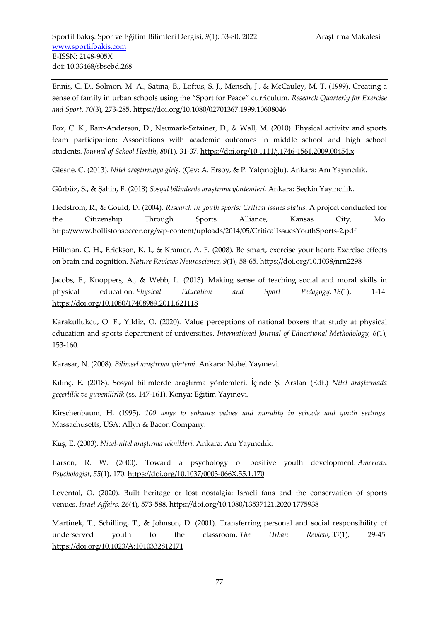Ennis, C. D., Solmon, M. A., Satina, B., Loftus, S. J., Mensch, J., & McCauley, M. T. (1999). Creating a sense of family in urban schools using the "Sport for Peace" curriculum. *Research Quarterly for Exercise and Sport*, *70*(3), 273-285. https://doi.org/10.1080/02701367.1999.10608046

Fox, C. K., Barr-Anderson, D., Neumark-Sztainer, D., & Wall, M. (2010). Physical activity and sports team participation: Associations with academic outcomes in middle school and high school students. *Journal of School Health*, *80*(1), 31-37. https://doi.org/10.1111/j.1746-1561.2009.00454.x

Glesne, C. (2013). *Nitel araştırmaya giriş*. (Çev: A. Ersoy, & P. Yalçınoğlu). Ankara: Anı Yayıncılık.

Gürbüz, S., & Şahin, F. (2018) *Sosyal bilimlerde araştırma yöntemleri.* Ankara: Seçkin Yayıncılık.

Hedstrom, R., & Gould, D. (2004). *Research in youth sports: Critical issues status.* A project conducted for the Citizenship Through Sports Alliance, Kansas City, Mo. http://www.hollistonsoccer.org/wp-content/uploads/2014/05/CriticalIssuesYouthSports-2.pdf

Hillman, C. H., Erickson, K. I., & Kramer, A. F. (2008). Be smart, exercise your heart: Exercise effects on brain and cognition. *Nature Reviews Neuroscience*, *9*(1), 58-65. https://doi.org/10.1038/nrn2298

Jacobs, F., Knoppers, A., & Webb, L. (2013). Making sense of teaching social and moral skills in physical education. *Physical Education and Sport Pedagogy*, *18*(1), 1-14. https://doi.org/10.1080/17408989.2011.621118

Karakullukcu, O. F., Yildiz, O. (2020). Value perceptions of national boxers that study at physical education and sports department of universities. *International Journal of Educational Methodology, 6*(1), 153-160.

Karasar, N. (2008). *Bilimsel araştırma yöntemi*. Ankara: Nobel Yayınevi.

Kılınç, E. (2018). Sosyal bilimlerde araştırma yöntemleri. İçinde Ş. Arslan (Edt.) *Nitel araştırmada geçerlilik ve güvenilirlik* (ss. 147-161). Konya: Eğitim Yayınevi.

Kirschenbaum, H. (1995). *100 ways to enhance values and morality in schools and youth settings*. Massachusetts, USA: Allyn & Bacon Company.

Kuş, E. (2003). *Nicel-nitel araştırma teknikleri.* Ankara: Anı Yayıncılık.

Larson, R. W. (2000). Toward a psychology of positive youth development. *American Psychologist*, *55*(1), 170. https://doi.org/10.1037/0003-066X.55.1.170

Levental, O. (2020). Built heritage or lost nostalgia: Israeli fans and the conservation of sports venues. *Israel Affairs*, *26*(4), 573-588. https://doi.org/10.1080/13537121.2020.1775938

Martinek, T., Schilling, T., & Johnson, D. (2001). Transferring personal and social responsibility of underserved youth to the classroom. *The Urban Review*, *33*(1), 29-45. https://doi.org/10.1023/A:1010332812171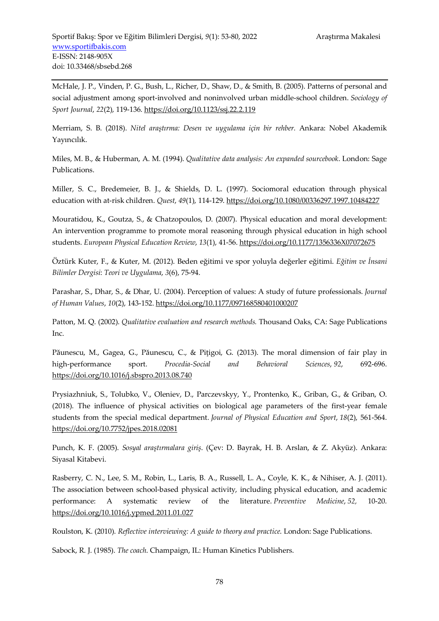McHale, J. P., Vinden, P. G., Bush, L., Richer, D., Shaw, D., & Smith, B. (2005). Patterns of personal and social adjustment among sport-involved and noninvolved urban middle-school children. *Sociology of Sport Journal*, *22*(2), 119-136. https://doi.org/10.1123/ssj.22.2.119

Merriam, S. B. (2018). *Nitel araştırma: Desen ve uygulama için bir rehber.* Ankara: Nobel Akademik Yayıncılık.

Miles, M. B., & Huberman, A. M. (1994). *Qualitative data analysis: An expanded sourcebook*. London: Sage Publications.

Miller, S. C., Bredemeier, B. J., & Shields, D. L. (1997). Sociomoral education through physical education with at-risk children. *Quest*, *49*(1), 114-129. https://doi.org/10.1080/00336297.1997.10484227

Mouratidou, K., Goutza, S., & Chatzopoulos, D. (2007). Physical education and moral development: An intervention programme to promote moral reasoning through physical education in high school students. *European Physical Education Review*, *13*(1), 41-56. https://doi.org/10.1177/1356336X07072675

Öztürk Kuter, F., & Kuter, M. (2012). Beden eğitimi ve spor yoluyla değerler eğitimi. *Eğitim ve İnsani Bilimler Dergisi*: *Teori ve Uygulama*, *3*(6), 75-94.

Parashar, S., Dhar, S., & Dhar, U. (2004). Perception of values: A study of future professionals. *Journal of Human Values*, *10*(2), 143-152. https://doi.org/10.1177/097168580401000207

Patton, M. Q. (2002). *Qualitative evaluation and research methods.* Thousand Oaks, CA: Sage Publications Inc.

Păunescu, M., Gagea, G., Păunescu, C., & Piţigoi, G. (2013). The moral dimension of fair play in high-performance sport. *Procedia-Social and Behavioral Sciences*, *92*, 692-696. https://doi.org/10.1016/j.sbspro.2013.08.740

Prysiazhniuk, S., Tolubko, V., Oleniev, D., Parczevskyy, Y., Prontenko, K., Griban, G., & Griban, O. (2018). The influence of physical activities on biological age parameters of the first-year female students from the special medical department. *Journal of Physical Education and Sport*, *18*(2), 561-564. https://doi.org/10.7752/jpes.2018.02081

Punch, K. F. (2005). *Sosyal araştırmalara giriş*. (Çev: D. Bayrak, H. B. Arslan, & Z. Akyüz). Ankara: Siyasal Kitabevi.

Rasberry, C. N., Lee, S. M., Robin, L., Laris, B. A., Russell, L. A., Coyle, K. K., & Nihiser, A. J. (2011). The association between school-based physical activity, including physical education, and academic performance: A systematic review of the literature. *Preventive Medicine*, *52,* 10-20. https://doi.org/10.1016/j.ypmed.2011.01.027

Roulston, K. (2010). *Reflective interviewing: A guide to theory and practice*. London: Sage Publications.

Sabock, R. J. (1985). *The coach*. Champaign, IL: Human Kinetics Publishers.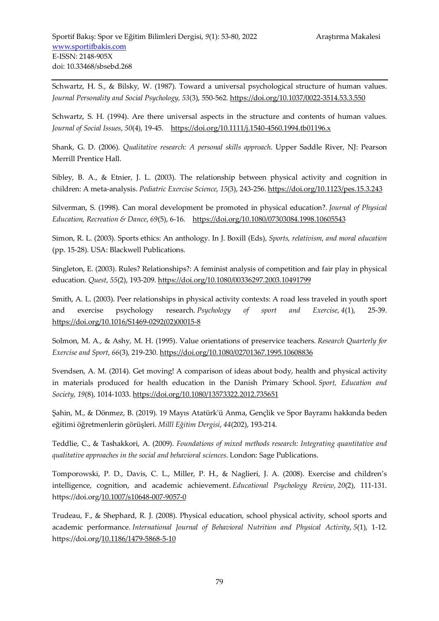Schwartz, H. S., & Bilsky, W. (1987). Toward a universal psychological structure of human values. *Journal Personality and Social Psychology, 53*(3), 550-562. https://doi.org/10.1037/0022-3514.53.3.550

Schwartz, S. H. (1994). Are there universal aspects in the structure and contents of human values. *Journal of Social Issues*, *50*(4), 19-45. https://doi.org/10.1111/j.1540-4560.1994.tb01196.x

Shank, G. D. (2006). *Qualitative research: A personal skills approach*. Upper Saddle River, NJ: Pearson Merrill Prentice Hall.

Sibley, B. A., & Etnier, J. L. (2003). The relationship between physical activity and cognition in children: A meta-analysis. *Pediatric Exercise Science*, *15*(3), 243-256. https://doi.org/10.1123/pes.15.3.243

Silverman, S. (1998). Can moral development be promoted in physical education?. *Journal of Physical Education, Recreation & Dance*, *69*(5), 6-16. https://doi.org/10.1080/07303084.1998.10605543

Simon, R. L. (2003). Sports ethics: An anthology. In J. Boxill (Eds), *Sports, relativism, and moral education*  (pp. 15-28). USA: Blackwell Publications.

Singleton, E. (2003). Rules? Relationships?: A feminist analysis of competition and fair play in physical education. *Quest*, *55*(2), 193-209. https://doi.org/10.1080/00336297.2003.10491799

Smith, A. L. (2003). Peer relationships in physical activity contexts: A road less traveled in youth sport and exercise psychology research. *Psychology of sport and Exercise*, *4*(1), 25-39. https://doi.org/10.1016/S1469-0292(02)00015-8

Solmon, M. A., & Ashy, M. H. (1995). Value orientations of preservice teachers. *Research Quarterly for Exercise and Sport*, *66*(3), 219-230. https://doi.org/10.1080/02701367.1995.10608836

Svendsen, A. M. (2014). Get moving! A comparison of ideas about body, health and physical activity in materials produced for health education in the Danish Primary School. *Sport, Education and Society*, *19*(8), 1014-1033. https://doi.org/10.1080/13573322.2012.735651

Şahin, M., & Dönmez, B. (2019). 19 Mayıs Atatürk'ü Anma, Gençlik ve Spor Bayramı hakkında beden eğitimi öğretmenlerin görüşleri. *Millî Eğitim Dergisi*, *44*(202), 193-214.

Teddlie, C., & Tashakkori, A. (2009). *Foundations of mixed methods research: Integrating quantitative and qualitative approaches in the social and behavioral sciences*. London: Sage Publications.

Tomporowski, P. D., Davis, C. L., Miller, P. H., & Naglieri, J. A. (2008). Exercise and children's intelligence, cognition, and academic achievement. *Educational Psychology Review*, *20*(2), 111-131. https://doi.org/10.1007/s10648-007-9057-0

Trudeau, F., & Shephard, R. J. (2008). Physical education, school physical activity, school sports and academic performance. *International Journal of Behavioral Nutrition and Physical Activity*, *5*(1), 1-12. https://doi.org/10.1186/1479-5868-5-10